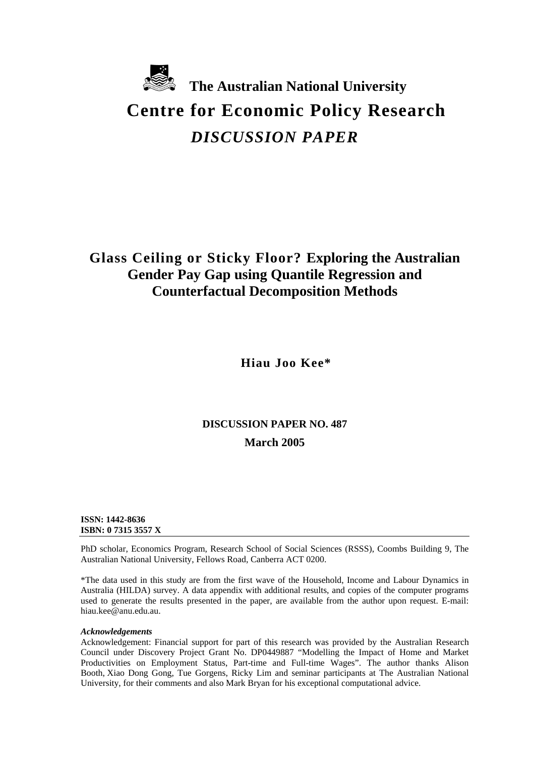

# *DISCUSSION PAPER*

# **Glass Ceiling or Sticky Floor? Exploring the Australian Gender Pay Gap using Quantile Regression and Counterfactual Decomposition Methods**

**Hiau Joo Kee\***

# **DISCUSSION PAPER NO. 487 March 2005**

**ISSN: 1442-8636 ISBN: 0 7315 3557 X** 

PhD scholar, Economics Program, Research School of Social Sciences (RSSS), Coombs Building 9, The Australian National University, Fellows Road, Canberra ACT 0200.

\*The data used in this study are from the first wave of the Household, Income and Labour Dynamics in Australia (HILDA) survey. A data appendix with additional results, and copies of the computer programs used to generate the results presented in the paper, are available from the author upon request. E-mail: hiau.kee@anu.edu.au.

#### *Acknowledgements*

Acknowledgement: Financial support for part of this research was provided by the Australian Research Council under Discovery Project Grant No. DP0449887 "Modelling the Impact of Home and Market Productivities on Employment Status, Part-time and Full-time Wages". The author thanks Alison Booth, Xiao Dong Gong, Tue Gorgens, Ricky Lim and seminar participants at The Australian National University, for their comments and also Mark Bryan for his exceptional computational advice.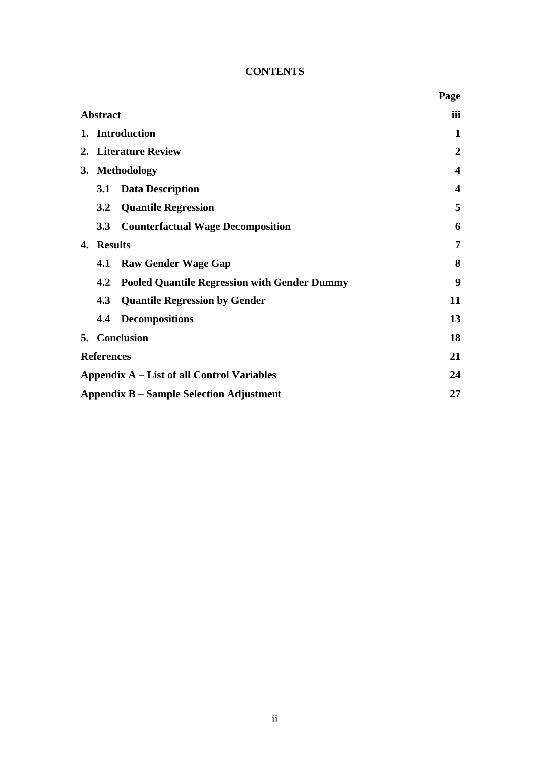## **CONTENTS**

|    |                                                            | Page             |
|----|------------------------------------------------------------|------------------|
|    | <b>Abstract</b>                                            | iii              |
|    | 1. Introduction                                            | 1                |
|    | 2. Literature Review                                       | 2                |
| 3. | <b>Methodology</b>                                         | 4                |
|    | <b>Data Description</b><br><b>3.1</b>                      | $\boldsymbol{4}$ |
|    | <b>Quantile Regression</b><br>3.2                          | 5                |
|    | <b>Counterfactual Wage Decomposition</b><br>3.3            | 6                |
| 4. | <b>Results</b>                                             | 7                |
|    | <b>Raw Gender Wage Gap</b><br>4.1                          | 8                |
|    | <b>Pooled Quantile Regression with Gender Dummy</b><br>4.2 | 9                |
|    | 4.3<br><b>Quantile Regression by Gender</b>                | 11               |
|    | <b>Decompositions</b><br>4.4                               | 13               |
|    | 5. Conclusion                                              | 18               |
|    | <b>References</b>                                          | 21               |
|    | Appendix A – List of all Control Variables                 | 24               |
|    | <b>Appendix B – Sample Selection Adjustment</b>            | 27               |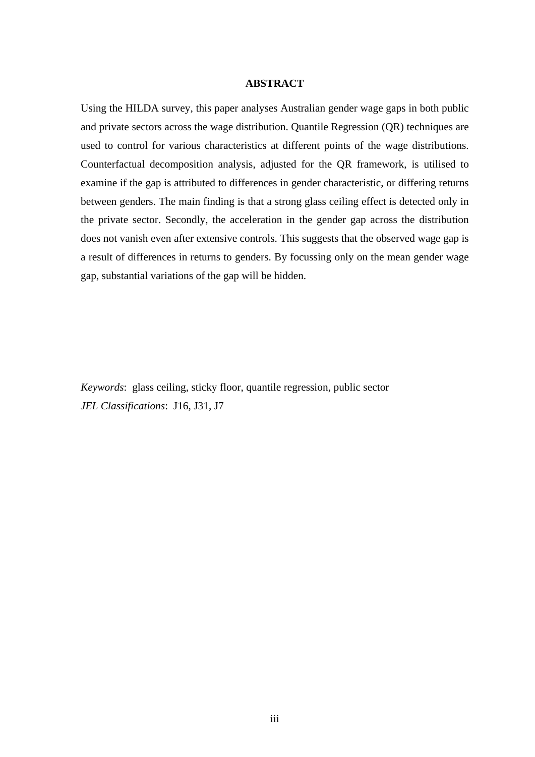#### **ABSTRACT**

Using the HILDA survey, this paper analyses Australian gender wage gaps in both public and private sectors across the wage distribution. Quantile Regression (QR) techniques are used to control for various characteristics at different points of the wage distributions. Counterfactual decomposition analysis, adjusted for the QR framework, is utilised to examine if the gap is attributed to differences in gender characteristic, or differing returns between genders. The main finding is that a strong glass ceiling effect is detected only in the private sector. Secondly, the acceleration in the gender gap across the distribution does not vanish even after extensive controls. This suggests that the observed wage gap is a result of differences in returns to genders. By focussing only on the mean gender wage gap, substantial variations of the gap will be hidden.

*Keywords*: glass ceiling, sticky floor, quantile regression, public sector *JEL Classifications*: J16, J31, J7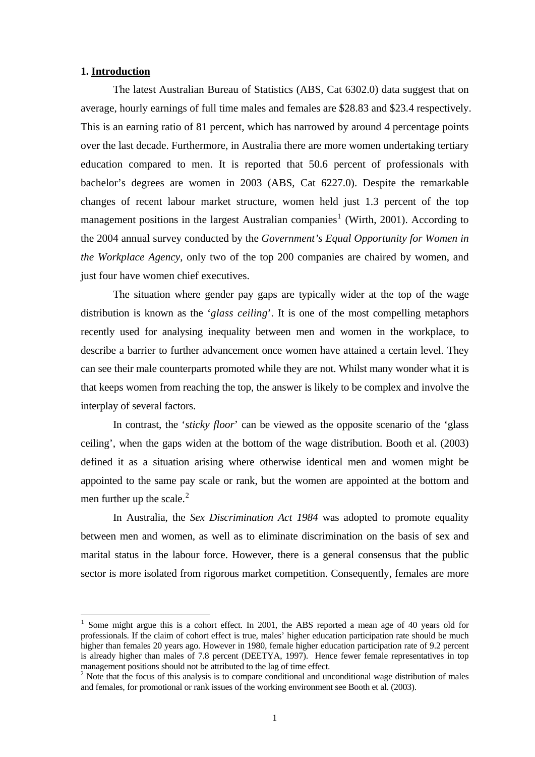#### **1. Introduction**

 $\overline{a}$ 

The latest Australian Bureau of Statistics (ABS, Cat 6302.0) data suggest that on average, hourly earnings of full time males and females are \$28.83 and \$23.4 respectively. This is an earning ratio of 81 percent, which has narrowed by around 4 percentage points over the last decade. Furthermore, in Australia there are more women undertaking tertiary education compared to men. It is reported that 50.6 percent of professionals with bachelor's degrees are women in 2003 (ABS, Cat 6227.0). Despite the remarkable changes of recent labour market structure, women held just 1.3 percent of the top management positions in the largest Australian companies<sup>[1](#page-3-0)</sup> (Wirth, 2001). According to the 2004 annual survey conducted by the *Government's Equal Opportunity for Women in the Workplace Agency*, only two of the top 200 companies are chaired by women, and just four have women chief executives.

The situation where gender pay gaps are typically wider at the top of the wage distribution is known as the '*glass ceiling*'. It is one of the most compelling metaphors recently used for analysing inequality between men and women in the workplace, to describe a barrier to further advancement once women have attained a certain level. They can see their male counterparts promoted while they are not. Whilst many wonder what it is that keeps women from reaching the top, the answer is likely to be complex and involve the interplay of several factors.

In contrast, the '*sticky floor*' can be viewed as the opposite scenario of the 'glass ceiling', when the gaps widen at the bottom of the wage distribution. Booth et al. (2003) defined it as a situation arising where otherwise identical men and women might be appointed to the same pay scale or rank, but the women are appointed at the bottom and men further up the scale. $<sup>2</sup>$  $<sup>2</sup>$  $<sup>2</sup>$ </sup>

In Australia, the *Sex Discrimination Act 1984* was adopted to promote equality between men and women, as well as to eliminate discrimination on the basis of sex and marital status in the labour force. However, there is a general consensus that the public sector is more isolated from rigorous market competition. Consequently, females are more

<span id="page-3-0"></span><sup>1</sup> Some might argue this is a cohort effect. In 2001, the ABS reported a mean age of 40 years old for professionals. If the claim of cohort effect is true, males' higher education participation rate should be much higher than females 20 years ago. However in 1980, female higher education participation rate of 9.2 percent is already higher than males of 7.8 percent (DEETYA, 1997). Hence fewer female representatives in top management positions should not be attributed to the lag of time effect.

<span id="page-3-1"></span><sup>&</sup>lt;sup>2</sup> Note that the focus of this analysis is to compare conditional and unconditional wage distribution of males and females, for promotional or rank issues of the working environment see Booth et al. (2003).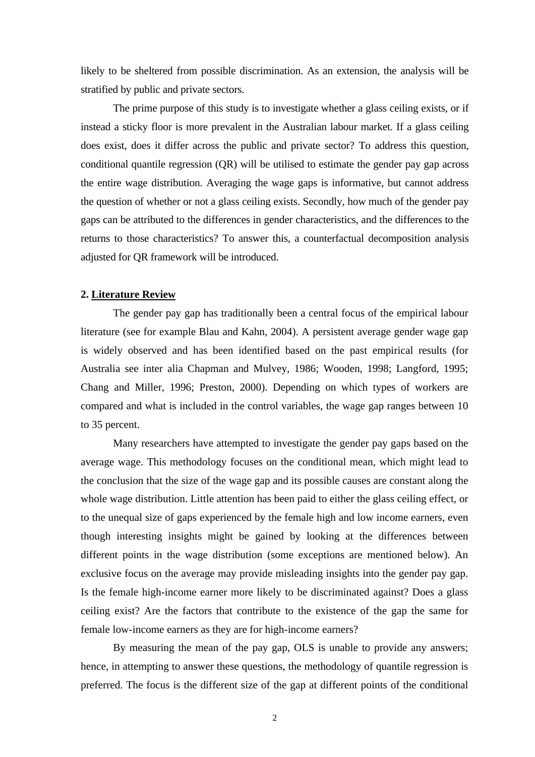likely to be sheltered from possible discrimination. As an extension, the analysis will be stratified by public and private sectors.

The prime purpose of this study is to investigate whether a glass ceiling exists, or if instead a sticky floor is more prevalent in the Australian labour market. If a glass ceiling does exist, does it differ across the public and private sector? To address this question, conditional quantile regression (QR) will be utilised to estimate the gender pay gap across the entire wage distribution. Averaging the wage gaps is informative, but cannot address the question of whether or not a glass ceiling exists. Secondly, how much of the gender pay gaps can be attributed to the differences in gender characteristics, and the differences to the returns to those characteristics? To answer this, a counterfactual decomposition analysis adjusted for QR framework will be introduced.

#### **2. Literature Review**

The gender pay gap has traditionally been a central focus of the empirical labour literature (see for example Blau and Kahn, 2004). A persistent average gender wage gap is widely observed and has been identified based on the past empirical results (for Australia see inter alia Chapman and Mulvey, 1986; Wooden, 1998; Langford, 1995; Chang and Miller, 1996; Preston, 2000). Depending on which types of workers are compared and what is included in the control variables, the wage gap ranges between 10 to 35 percent.

Many researchers have attempted to investigate the gender pay gaps based on the average wage. This methodology focuses on the conditional mean, which might lead to the conclusion that the size of the wage gap and its possible causes are constant along the whole wage distribution. Little attention has been paid to either the glass ceiling effect, or to the unequal size of gaps experienced by the female high and low income earners, even though interesting insights might be gained by looking at the differences between different points in the wage distribution (some exceptions are mentioned below). An exclusive focus on the average may provide misleading insights into the gender pay gap. Is the female high-income earner more likely to be discriminated against? Does a glass ceiling exist? Are the factors that contribute to the existence of the gap the same for female low-income earners as they are for high-income earners?

By measuring the mean of the pay gap, OLS is unable to provide any answers; hence, in attempting to answer these questions, the methodology of quantile regression is preferred. The focus is the different size of the gap at different points of the conditional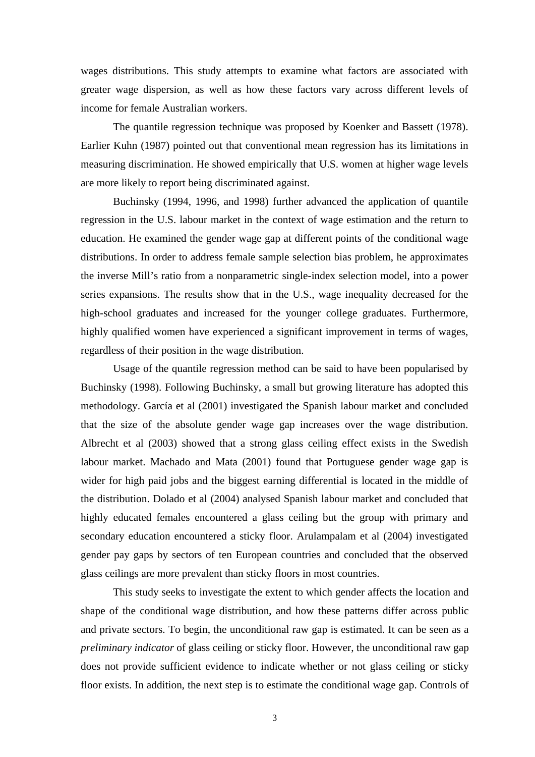wages distributions. This study attempts to examine what factors are associated with greater wage dispersion, as well as how these factors vary across different levels of income for female Australian workers.

The quantile regression technique was proposed by Koenker and Bassett (1978). Earlier Kuhn (1987) pointed out that conventional mean regression has its limitations in measuring discrimination. He showed empirically that U.S. women at higher wage levels are more likely to report being discriminated against.

Buchinsky (1994, 1996, and 1998) further advanced the application of quantile regression in the U.S. labour market in the context of wage estimation and the return to education. He examined the gender wage gap at different points of the conditional wage distributions. In order to address female sample selection bias problem, he approximates the inverse Mill's ratio from a nonparametric single-index selection model, into a power series expansions. The results show that in the U.S., wage inequality decreased for the high-school graduates and increased for the younger college graduates. Furthermore, highly qualified women have experienced a significant improvement in terms of wages, regardless of their position in the wage distribution.

Usage of the quantile regression method can be said to have been popularised by Buchinsky (1998). Following Buchinsky, a small but growing literature has adopted this methodology. García et al (2001) investigated the Spanish labour market and concluded that the size of the absolute gender wage gap increases over the wage distribution. Albrecht et al (2003) showed that a strong glass ceiling effect exists in the Swedish labour market. Machado and Mata (2001) found that Portuguese gender wage gap is wider for high paid jobs and the biggest earning differential is located in the middle of the distribution. Dolado et al (2004) analysed Spanish labour market and concluded that highly educated females encountered a glass ceiling but the group with primary and secondary education encountered a sticky floor. Arulampalam et al (2004) investigated gender pay gaps by sectors of ten European countries and concluded that the observed glass ceilings are more prevalent than sticky floors in most countries.

This study seeks to investigate the extent to which gender affects the location and shape of the conditional wage distribution, and how these patterns differ across public and private sectors. To begin, the unconditional raw gap is estimated. It can be seen as a *preliminary indicator* of glass ceiling or sticky floor. However, the unconditional raw gap does not provide sufficient evidence to indicate whether or not glass ceiling or sticky floor exists. In addition, the next step is to estimate the conditional wage gap. Controls of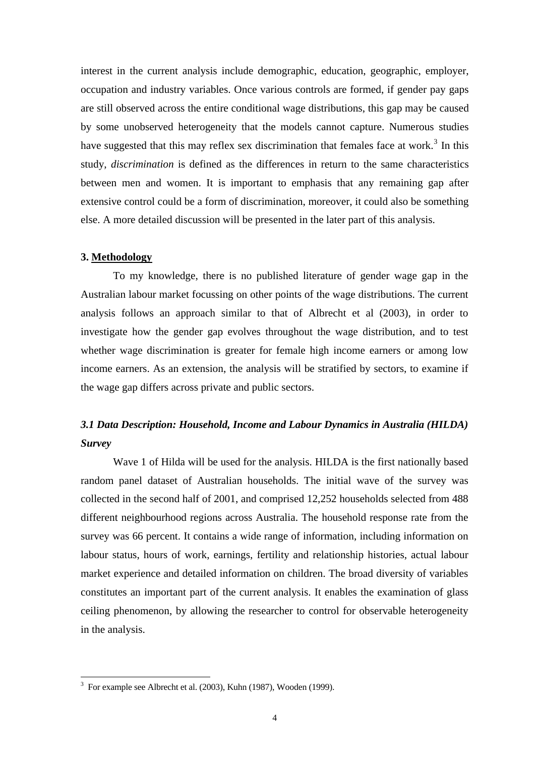interest in the current analysis include demographic, education, geographic, employer, occupation and industry variables. Once various controls are formed, if gender pay gaps are still observed across the entire conditional wage distributions, this gap may be caused by some unobserved heterogeneity that the models cannot capture. Numerous studies have suggested that this may reflex sex discrimination that females face at work.<sup>[3](#page-6-0)</sup> In this study, *discrimination* is defined as the differences in return to the same characteristics between men and women. It is important to emphasis that any remaining gap after extensive control could be a form of discrimination, moreover, it could also be something else. A more detailed discussion will be presented in the later part of this analysis.

#### **3. Methodology**

To my knowledge, there is no published literature of gender wage gap in the Australian labour market focussing on other points of the wage distributions. The current analysis follows an approach similar to that of Albrecht et al (2003), in order to investigate how the gender gap evolves throughout the wage distribution, and to test whether wage discrimination is greater for female high income earners or among low income earners. As an extension, the analysis will be stratified by sectors, to examine if the wage gap differs across private and public sectors.

# *3.1 Data Description: Household, Income and Labour Dynamics in Australia (HILDA) Survey*

Wave 1 of Hilda will be used for the analysis. HILDA is the first nationally based random panel dataset of Australian households. The initial wave of the survey was collected in the second half of 2001, and comprised 12,252 households selected from 488 different neighbourhood regions across Australia. The household response rate from the survey was 66 percent. It contains a wide range of information, including information on labour status, hours of work, earnings, fertility and relationship histories, actual labour market experience and detailed information on children. The broad diversity of variables constitutes an important part of the current analysis. It enables the examination of glass ceiling phenomenon, by allowing the researcher to control for observable heterogeneity in the analysis.

<span id="page-6-0"></span> 3 For example see Albrecht et al. (2003), Kuhn (1987), Wooden (1999).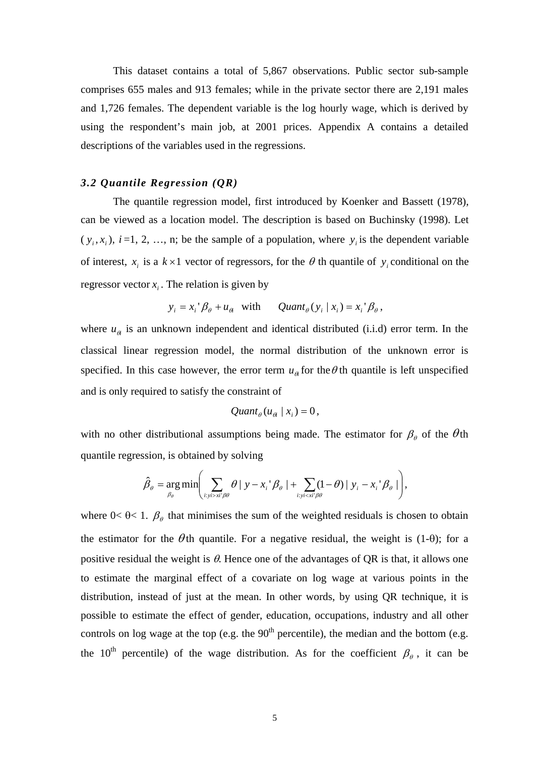This dataset contains a total of 5,867 observations. Public sector sub-sample comprises 655 males and 913 females; while in the private sector there are 2,191 males and 1,726 females. The dependent variable is the log hourly wage, which is derived by using the respondent's main job, at 2001 prices. Appendix A contains a detailed descriptions of the variables used in the regressions.

## *3.2 Quantile Regression (QR)*

The quantile regression model, first introduced by Koenker and Bassett (1978), can be viewed as a location model. The description is based on Buchinsky (1998). Let  $(y_i, x_i)$ ,  $i = 1, 2, ..., n$ ; be the sample of a population, where  $y_i$  is the dependent variable of interest,  $x_i$  is a  $k \times 1$  vector of regressors, for the  $\theta$  th quantile of  $y_i$  conditional on the regressor vector  $x_i$ . The relation is given by

$$
y_i = x_i' \beta_\theta + u_\theta
$$
 with  $Quant_\theta(y_i | x_i) = x_i' \beta_\theta$ ,

where  $u_{\theta}$  is an unknown independent and identical distributed (i.i.d) error term. In the classical linear regression model, the normal distribution of the unknown error is specified. In this case however, the error term  $u_{\alpha}$  for the  $\theta$  th quantile is left unspecified and is only required to satisfy the constraint of

$$
Quant_{\theta}(u_{\theta} | x_i) = 0,
$$

with no other distributional assumptions being made. The estimator for  $\beta_\theta$  of the  $\theta$ th quantile regression, is obtained by solving

$$
\hat{\beta}_{\theta} = \underset{\beta_{\theta}}{\arg\min} \Biggl( \sum_{i: y i > x i' \beta \theta} \theta \mid y - x_i' \beta_{\theta} \mid + \sum_{i: y i < x i' \beta \theta} (1 - \theta) \mid y_i - x_i' \beta_{\theta} \mid \Biggr),
$$

where  $0 < \theta < 1$ .  $\beta_{\theta}$  that minimises the sum of the weighted residuals is chosen to obtain the estimator for the  $\theta$ th quantile. For a negative residual, the weight is (1-θ); for a positive residual the weight is  $\theta$ . Hence one of the advantages of QR is that, it allows one to estimate the marginal effect of a covariate on log wage at various points in the distribution, instead of just at the mean. In other words, by using QR technique, it is possible to estimate the effect of gender, education, occupations, industry and all other controls on log wage at the top (e.g. the  $90<sup>th</sup>$  percentile), the median and the bottom (e.g. the 10<sup>th</sup> percentile) of the wage distribution. As for the coefficient  $\beta_{\theta}$ , it can be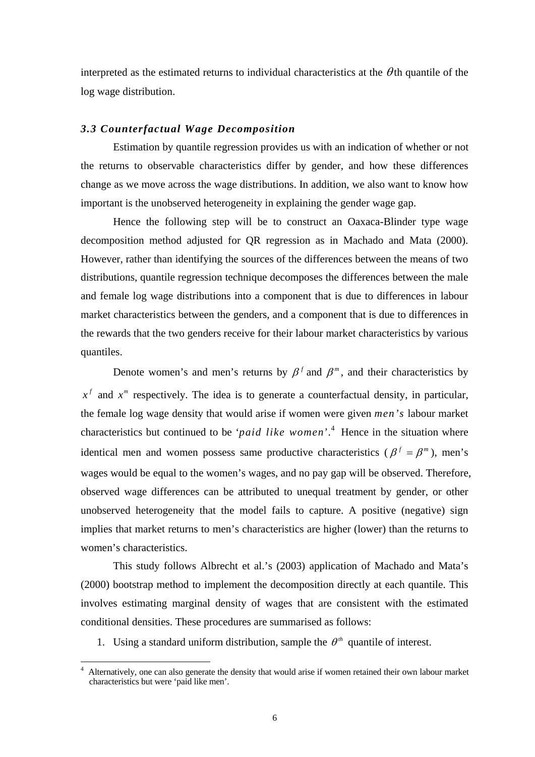interpreted as the estimated returns to individual characteristics at the  $\theta$ th quantile of the log wage distribution.

#### *3.3 Counterfactual Wage Decomposition*

Estimation by quantile regression provides us with an indication of whether or not the returns to observable characteristics differ by gender, and how these differences change as we move across the wage distributions. In addition, we also want to know how important is the unobserved heterogeneity in explaining the gender wage gap.

Hence the following step will be to construct an Oaxaca-Blinder type wage decomposition method adjusted for QR regression as in Machado and Mata (2000). However, rather than identifying the sources of the differences between the means of two distributions, quantile regression technique decomposes the differences between the male and female log wage distributions into a component that is due to differences in labour market characteristics between the genders, and a component that is due to differences in the rewards that the two genders receive for their labour market characteristics by various quantiles.

Denote women's and men's returns by  $\beta^f$  and  $\beta^m$ , and their characteristics by  $x<sup>f</sup>$  and  $x<sup>m</sup>$  respectively. The idea is to generate a counterfactual density, in particular, the female log wage density that would arise if women were given *men's* labour market characteristics but continued to be '*paid like women*'. [4](#page-8-0) Hence in the situation where identical men and women possess same productive characteristics ( $\beta^f = \beta^m$ ), men's wages would be equal to the women's wages, and no pay gap will be observed. Therefore, observed wage differences can be attributed to unequal treatment by gender, or other unobserved heterogeneity that the model fails to capture. A positive (negative) sign implies that market returns to men's characteristics are higher (lower) than the returns to women's characteristics.

This study follows Albrecht et al.'s (2003) application of Machado and Mata's (2000) bootstrap method to implement the decomposition directly at each quantile. This involves estimating marginal density of wages that are consistent with the estimated conditional densities. These procedures are summarised as follows:

1. Using a standard uniform distribution, sample the  $\theta^{th}$  quantile of interest.

<span id="page-8-0"></span><sup>4</sup> Alternatively, one can also generate the density that would arise if women retained their own labour market characteristics but were 'paid like men'.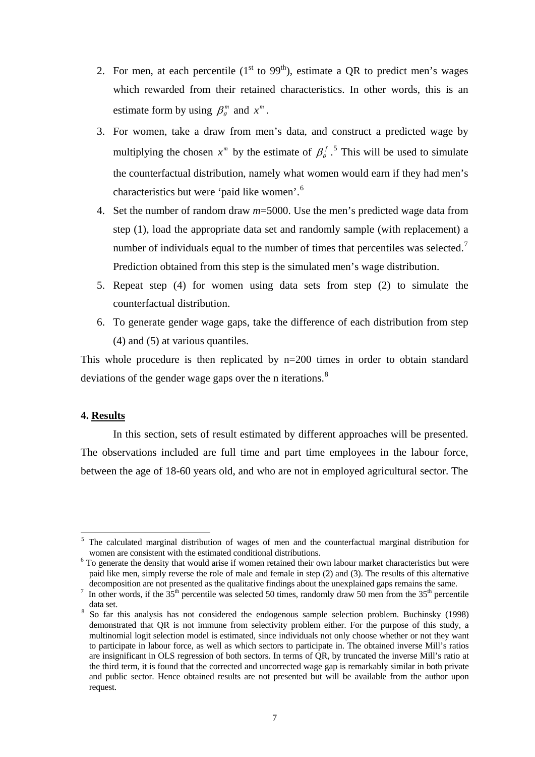- 2. For men, at each percentile  $(1<sup>st</sup>$  to 99<sup>th</sup>), estimate a QR to predict men's wages which rewarded from their retained characteristics. In other words, this is an estimate form by using  $\beta_{\theta}^{m}$  and  $x^{m}$ .
- 3. For women, take a draw from men's data, and construct a predicted wage by multiplying the chosen  $x^m$  by the estimate of  $\beta_{\theta}^f$ .<sup>[5](#page-9-0)</sup> This will be used to simulate the counterfactual distribution, namely what women would earn if they had men's characteristics but were 'paid like women'.[6](#page-9-1)
- 4. Set the number of random draw *m*=5000. Use the men's predicted wage data from step (1), load the appropriate data set and randomly sample (with replacement) a number of individuals equal to the number of times that percentiles was selected.<sup>[7](#page-9-2)</sup> Prediction obtained from this step is the simulated men's wage distribution.
- 5. Repeat step (4) for women using data sets from step (2) to simulate the counterfactual distribution.
- 6. To generate gender wage gaps, take the difference of each distribution from step (4) and (5) at various quantiles.

This whole procedure is then replicated by n=200 times in order to obtain standard deviations of the gender wage gaps over the n iterations.<sup>[8](#page-9-3)</sup>

#### **4. Results**

 $\overline{a}$ 

In this section, sets of result estimated by different approaches will be presented. The observations included are full time and part time employees in the labour force, between the age of 18-60 years old, and who are not in employed agricultural sector. The

<span id="page-9-0"></span><sup>&</sup>lt;sup>5</sup> The calculated marginal distribution of wages of men and the counterfactual marginal distribution for women are consistent with the estimated conditional distributions.

<span id="page-9-1"></span> $6$  To generate the density that would arise if women retained their own labour market characteristics but were paid like men, simply reverse the role of male and female in step (2) and (3). The results of this alternative decomposition are not presented as the qualitative findings about the unexplained gaps remains the same.

<span id="page-9-2"></span>In other words, if the  $35<sup>th</sup>$  percentile was selected 50 times, randomly draw 50 men from the  $35<sup>th</sup>$  percentile data set.<br><sup>8</sup> So far this analysis has not considered the endogenous sample selection problem. Buchinsky (1998)

<span id="page-9-3"></span>demonstrated that QR is not immune from selectivity problem either. For the purpose of this study, a multinomial logit selection model is estimated, since individuals not only choose whether or not they want to participate in labour force, as well as which sectors to participate in. The obtained inverse Mill's ratios are insignificant in OLS regression of both sectors. In terms of QR, by truncated the inverse Mill's ratio at the third term, it is found that the corrected and uncorrected wage gap is remarkably similar in both private and public sector. Hence obtained results are not presented but will be available from the author upon request.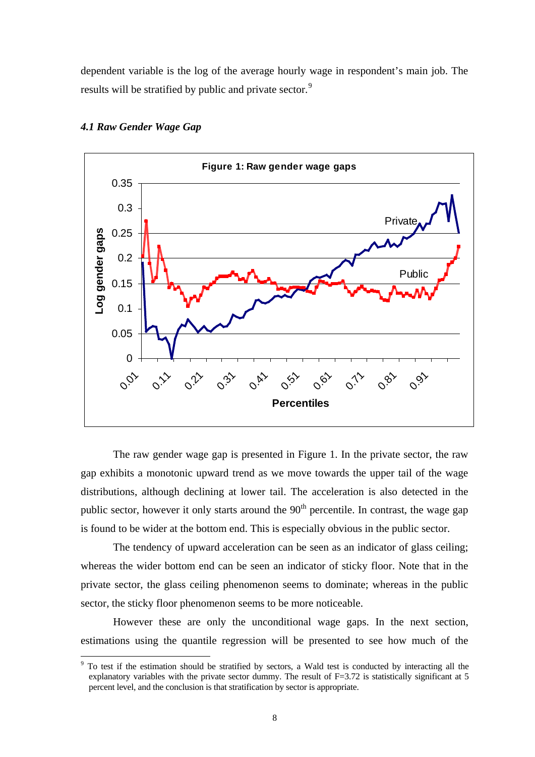dependent variable is the log of the average hourly wage in respondent's main job. The results will be stratified by public and private sector.<sup>[9](#page-10-0)</sup>



#### *4.1 Raw Gender Wage Gap*

 $\overline{a}$ 

The raw gender wage gap is presented in Figure 1. In the private sector, the raw gap exhibits a monotonic upward trend as we move towards the upper tail of the wage distributions, although declining at lower tail. The acceleration is also detected in the public sector, however it only starts around the  $90<sup>th</sup>$  percentile. In contrast, the wage gap is found to be wider at the bottom end. This is especially obvious in the public sector.

The tendency of upward acceleration can be seen as an indicator of glass ceiling; whereas the wider bottom end can be seen an indicator of sticky floor. Note that in the private sector, the glass ceiling phenomenon seems to dominate; whereas in the public sector, the sticky floor phenomenon seems to be more noticeable.

However these are only the unconditional wage gaps. In the next section, estimations using the quantile regression will be presented to see how much of the

<span id="page-10-0"></span><sup>&</sup>lt;sup>9</sup> To test if the estimation should be stratified by sectors, a Wald test is conducted by interacting all the explanatory variables with the private sector dummy. The result of F=3.72 is statistically significant at 5 percent level, and the conclusion is that stratification by sector is appropriate.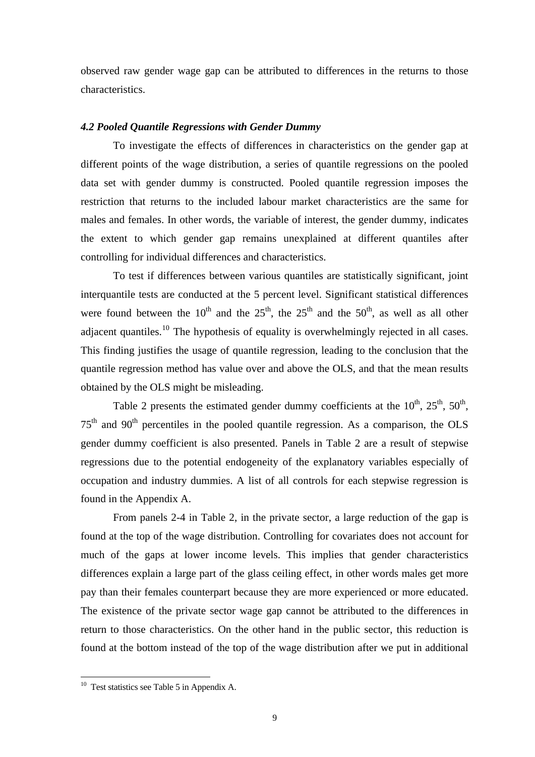observed raw gender wage gap can be attributed to differences in the returns to those characteristics.

## *4.2 Pooled Quantile Regressions with Gender Dummy*

To investigate the effects of differences in characteristics on the gender gap at different points of the wage distribution, a series of quantile regressions on the pooled data set with gender dummy is constructed. Pooled quantile regression imposes the restriction that returns to the included labour market characteristics are the same for males and females. In other words, the variable of interest, the gender dummy, indicates the extent to which gender gap remains unexplained at different quantiles after controlling for individual differences and characteristics.

To test if differences between various quantiles are statistically significant, joint interquantile tests are conducted at the 5 percent level. Significant statistical differences were found between the  $10^{th}$  and the  $25^{th}$ , the  $25^{th}$  and the  $50^{th}$ , as well as all other adjacent quantiles.<sup>[10](#page-11-0)</sup> The hypothesis of equality is overwhelmingly rejected in all cases. This finding justifies the usage of quantile regression, leading to the conclusion that the quantile regression method has value over and above the OLS, and that the mean results obtained by the OLS might be misleading.

Table 2 presents the estimated gender dummy coefficients at the  $10^{th}$ ,  $25^{th}$ ,  $50^{th}$ . 75th and 90th percentiles in the pooled quantile regression. As a comparison, the OLS gender dummy coefficient is also presented. Panels in Table 2 are a result of stepwise regressions due to the potential endogeneity of the explanatory variables especially of occupation and industry dummies. A list of all controls for each stepwise regression is found in the Appendix A.

From panels 2-4 in Table 2, in the private sector, a large reduction of the gap is found at the top of the wage distribution. Controlling for covariates does not account for much of the gaps at lower income levels. This implies that gender characteristics differences explain a large part of the glass ceiling effect, in other words males get more pay than their females counterpart because they are more experienced or more educated. The existence of the private sector wage gap cannot be attributed to the differences in return to those characteristics. On the other hand in the public sector, this reduction is found at the bottom instead of the top of the wage distribution after we put in additional

<span id="page-11-0"></span> $10$  Test statistics see Table 5 in Appendix A.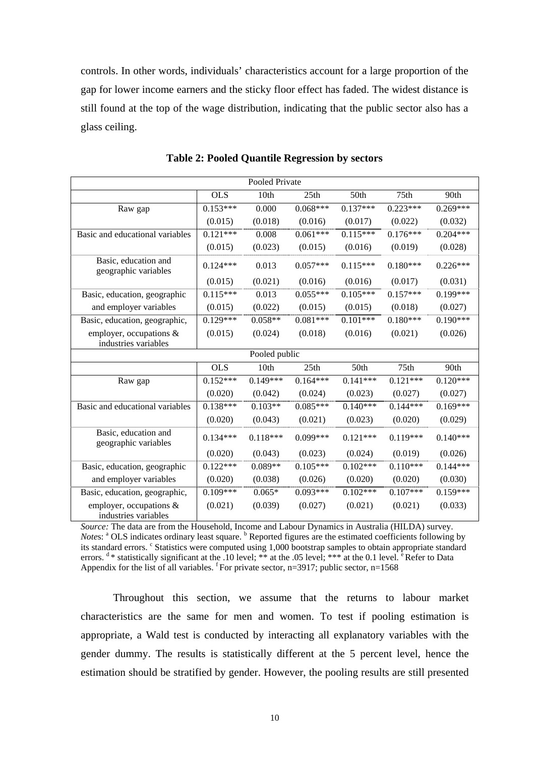controls. In other words, individuals' characteristics account for a large proportion of the gap for lower income earners and the sticky floor effect has faded. The widest distance is still found at the top of the wage distribution, indicating that the public sector also has a glass ceiling.

|                                                    |            | Pooled Private |            |            |                  |            |
|----------------------------------------------------|------------|----------------|------------|------------|------------------|------------|
|                                                    | <b>OLS</b> | 10th           | 25th       | 50th       | 75th             | 90th       |
| Raw gap                                            | $0.153***$ | 0.000          | $0.068***$ | $0.137***$ | $0.223***$       | $0.269***$ |
|                                                    | (0.015)    | (0.018)        | (0.016)    | (0.017)    | (0.022)          | (0.032)    |
| Basic and educational variables                    | $0.121***$ | 0.008          | $0.061***$ | $0.115***$ | $0.176***$       | $0.204***$ |
|                                                    | (0.015)    | (0.023)        | (0.015)    | (0.016)    | (0.019)          | (0.028)    |
| Basic, education and<br>geographic variables       | $0.124***$ | 0.013          | $0.057***$ | $0.115***$ | $0.180***$       | $0.226***$ |
|                                                    | (0.015)    | (0.021)        | (0.016)    | (0.016)    | (0.017)          | (0.031)    |
| Basic, education, geographic                       | $0.115***$ | 0.013          | $0.055***$ | $0.105***$ | $0.157***$       | $0.199***$ |
| and employer variables                             | (0.015)    | (0.022)        | (0.015)    | (0.015)    | (0.018)          | (0.027)    |
| Basic, education, geographic,                      | $0.129***$ | $0.058**$      | $0.081***$ | $0.101***$ | $0.180***$       | $0.190***$ |
| employer, occupations &<br>industries variables    | (0.015)    | (0.024)        | (0.018)    | (0.016)    | (0.021)          | (0.026)    |
|                                                    |            | Pooled public  |            |            |                  |            |
|                                                    | <b>OLS</b> | 10th           | 25th       | 50th       | 75 <sub>th</sub> | 90th       |
| Raw gap                                            | $0.152***$ | $0.149***$     | $0.164***$ | $0.141***$ | $0.121***$       | $0.120***$ |
|                                                    | (0.020)    | (0.042)        | (0.024)    | (0.023)    | (0.027)          | (0.027)    |
| Basic and educational variables                    | $0.138***$ | $0.103**$      | $0.085***$ | $0.140***$ | $0.144***$       | $0.169***$ |
|                                                    | (0.020)    | (0.043)        | (0.021)    | (0.023)    | (0.020)          | (0.029)    |
| Basic, education and<br>geographic variables       | $0.134***$ | $0.118***$     | $0.099***$ | $0.121***$ | $0.119***$       | $0.140***$ |
|                                                    | (0.020)    | (0.043)        | (0.023)    | (0.024)    | (0.019)          | (0.026)    |
| Basic, education, geographic                       | $0.122***$ | $0.089**$      | $0.105***$ | $0.102***$ | $0.110***$       | $0.144***$ |
| and employer variables                             | (0.020)    | (0.038)        | (0.026)    | (0.020)    | (0.020)          | (0.030)    |
| Basic, education, geographic,                      | $0.109***$ | $0.065*$       | $0.093***$ | $0.102***$ | $0.107***$       | $0.159***$ |
| employer, occupations $\&$<br>industries variables | (0.021)    | (0.039)        | (0.027)    | (0.021)    | (0.021)          | (0.033)    |

| <b>Table 2: Pooled Quantile Regression by sectors</b> |  |
|-------------------------------------------------------|--|
|-------------------------------------------------------|--|

*Source:* The data are from the Household, Income and Labour Dynamics in Australia (HILDA) survey. *Notes*: <sup>a</sup> OLS indicates ordinary least square. <sup>b</sup> Reported figures are the estimated coefficients following by its standard errors. <sup>c</sup> Statistics were computed using 1,000 bootstrap samples to obtain appropriate standard errors.  $d *$  statistically significant at the .10 level; \*\* at the .05 level; \*\*\* at the 0.1 level. <sup>e</sup> Refer to Data Appendix for the list of all variables. <sup>f</sup> For private sector, n=3917; public sector, n=1568

Throughout this section, we assume that the returns to labour market characteristics are the same for men and women. To test if pooling estimation is appropriate, a Wald test is conducted by interacting all explanatory variables with the gender dummy. The results is statistically different at the 5 percent level, hence the estimation should be stratified by gender. However, the pooling results are still presented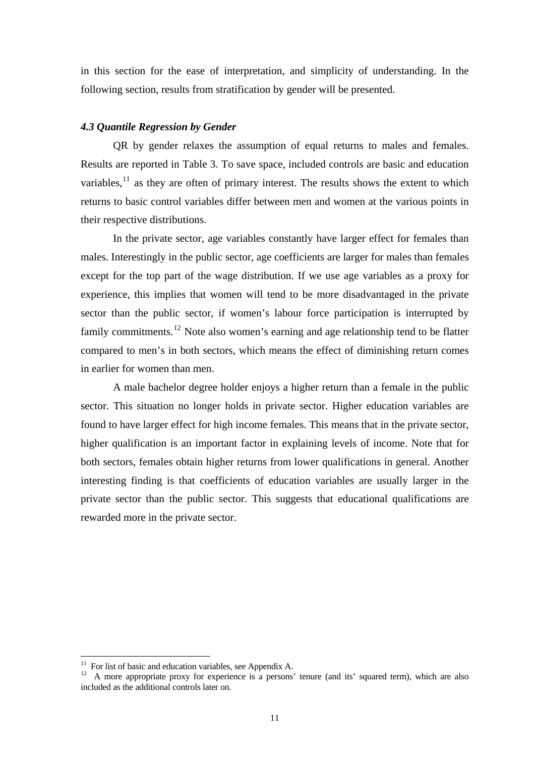in this section for the ease of interpretation, and simplicity of understanding. In the following section, results from stratification by gender will be presented.

#### *4.3 Quantile Regression by Gender*

QR by gender relaxes the assumption of equal returns to males and females. Results are reported in Table 3. To save space, included controls are basic and education variables, $^{11}$  $^{11}$  $^{11}$  as they are often of primary interest. The results shows the extent to which returns to basic control variables differ between men and women at the various points in their respective distributions.

In the private sector, age variables constantly have larger effect for females than males. Interestingly in the public sector, age coefficients are larger for males than females except for the top part of the wage distribution. If we use age variables as a proxy for experience, this implies that women will tend to be more disadvantaged in the private sector than the public sector, if women's labour force participation is interrupted by family commitments.<sup>[12](#page-13-1)</sup> Note also women's earning and age relationship tend to be flatter compared to men's in both sectors, which means the effect of diminishing return comes in earlier for women than men.

A male bachelor degree holder enjoys a higher return than a female in the public sector. This situation no longer holds in private sector. Higher education variables are found to have larger effect for high income females. This means that in the private sector, higher qualification is an important factor in explaining levels of income. Note that for both sectors, females obtain higher returns from lower qualifications in general. Another interesting finding is that coefficients of education variables are usually larger in the private sector than the public sector. This suggests that educational qualifications are rewarded more in the private sector.

 $11$  For list of basic and education variables, see Appendix A.

<span id="page-13-1"></span><span id="page-13-0"></span><sup>&</sup>lt;sup>12</sup> A more appropriate proxy for experience is a persons' tenure (and its' squared term), which are also included as the additional controls later on.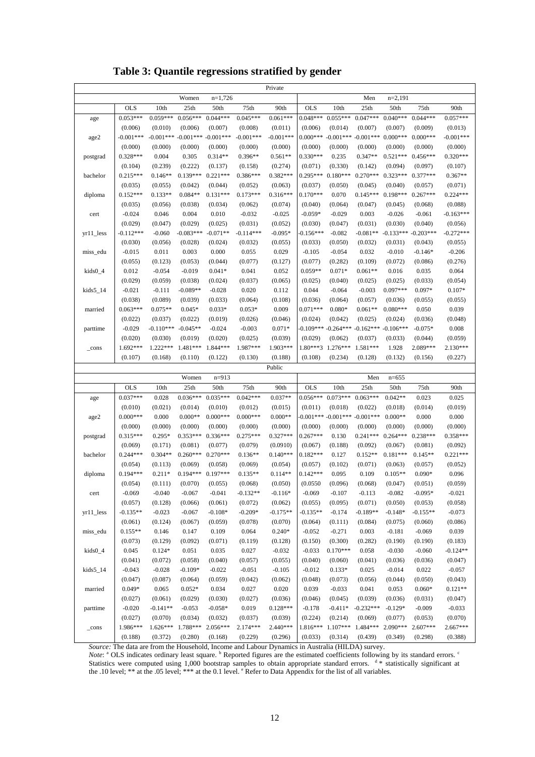**Table 3: Quantile regressions stratified by gender** 

| Private        |             |             |                       |             |             |             |            |                   |                                             |             |             |             |
|----------------|-------------|-------------|-----------------------|-------------|-------------|-------------|------------|-------------------|---------------------------------------------|-------------|-------------|-------------|
|                |             |             | Women                 | $n=1,726$   |             |             |            |                   | Men                                         | $n=2,191$   |             |             |
|                | <b>OLS</b>  | 10th        | 25 <sub>th</sub>      | 50th        | 75th        | 90th        | OLS        | 10th              | 25 <sub>th</sub>                            | 50th        | 75th        | 90th        |
| age            | $0.053***$  | $0.059***$  | $0.056***$            | $0.044***$  | $0.045***$  | $0.061***$  | $0.048***$ | $0.055***$        | $0.047***$                                  | $0.040***$  | $0.044***$  | $0.057***$  |
|                | (0.006)     | (0.010)     | (0.006)               | (0.007)     | (0.008)     | (0.011)     | (0.006)    | (0.014)           | (0.007)                                     | (0.007)     | (0.009)     | (0.013)     |
| age2           | $-0.001***$ |             | $-0.001*** -0.001***$ | $-0.001***$ | $-0.001***$ | $-0.001***$ | $0.000***$ |                   | $-0.001*** -0.001***$                       | $0.000***$  | $0.000***$  | $-0.001***$ |
|                | (0.000)     | (0.000)     | (0.000)               | (0.000)     | (0.000)     | (0.000)     | (0.000)    | (0.000)           | (0.000)                                     | (0.000)     | (0.000)     | (0.000)     |
| postgrad       | $0.328***$  | 0.004       | 0.305                 | $0.314**$   | 0.396**     | $0.561**$   | $0.330***$ | 0.235             | $0.347**$                                   | $0.521***$  | $0.456***$  | $0.320***$  |
|                | (0.104)     | (0.239)     | (0.222)               | (0.137)     | (0.158)     | (0.274)     | (0.071)    | (0.330)           | (0.142)                                     | (0.094)     | (0.097)     | (0.107)     |
| bachelor       | $0.215***$  | $0.146**$   | $0.139***$            | $0.221***$  | $0.386***$  | $0.382***$  | $0.295***$ | $0.180***$        | $0.270***$                                  | $0.323***$  | $0.377***$  | $0.367**$   |
|                | (0.035)     | (0.055)     | (0.042)               | (0.044)     | (0.052)     | (0.063)     | (0.037)    | (0.050)           | (0.045)                                     | (0.040)     | (0.057)     | (0.071)     |
| diploma        | $0.152***$  | $0.133**$   | $0.084**$             | $0.131***$  | $0.173***$  | $0.316***$  | $0.170***$ | 0.070             | $0.145***$                                  | $0.198***$  | $0.267***$  | $0.224***$  |
|                | (0.035)     | (0.056)     | (0.038)               | (0.034)     | (0.062)     | (0.074)     | (0.040)    | (0.064)           | (0.047)                                     | (0.045)     | (0.068)     | (0.088)     |
| cert           | $-0.024$    | 0.046       | 0.004                 | 0.010       | $-0.032$    | $-0.025$    | $-0.059*$  | $-0.029$          | 0.003                                       | $-0.026$    | $-0.061$    | $-0.163***$ |
|                | (0.029)     | (0.047)     | (0.029)               | (0.025)     | (0.031)     | (0.052)     | (0.030)    | (0.047)           | (0.031)                                     | (0.030)     | (0.040)     | (0.056)     |
| $yr11$ less    | $-0.112***$ | $-0.060$    | $-0.083***$           | $-0.071**$  | $-0.114***$ | $-0.095*$   | $0.156***$ | $-0.082$          | $-0.081**$                                  | $-0.133***$ | $-0.203***$ | $-0.272***$ |
|                | (0.030)     | (0.056)     | (0.028)               | (0.024)     | (0.032)     | (0.055)     | (0.033)    | (0.050)           | (0.032)                                     | (0.031)     | (0.043)     | (0.055)     |
| miss_edu       | $-0.015$    | 0.011       | 0.003                 | 0.000       | 0.055       | 0.029       | $-0.105$   | $-0.054$          | 0.032                                       | $-0.010$    | $-0.146*$   | $-0.206$    |
|                | (0.055)     | (0.123)     | (0.053)               | (0.044)     | (0.077)     | (0.127)     | (0.077)    | (0.282)           | (0.109)                                     | (0.072)     | (0.086)     | (0.276)     |
| $kids0_4$      | 0.012       | $-0.054$    | $-0.019$              | $0.041*$    | 0.041       | 0.052       | $0.059**$  | $0.071*$          | $0.061**$                                   | 0.016       | 0.035       | 0.064       |
|                | (0.029)     | (0.059)     | (0.038)               | (0.024)     | (0.037)     | (0.065)     | (0.025)    | (0.040)           | (0.025)                                     | (0.025)     | (0.033)     | (0.054)     |
| $kids5_14$     | $-0.021$    | $-0.111$    | $-0.089**$            | $-0.028$    | 0.020       | 0.112       | 0.044      | $-0.064$          | $-0.003$                                    | $0.097***$  | 0.097*      | $0.107*$    |
|                | (0.038)     | (0.089)     | (0.039)               | (0.033)     | (0.064)     | (0.108)     | (0.036)    | (0.064)           | (0.057)                                     | (0.036)     | (0.055)     | (0.055)     |
| married        | $0.063***$  | $0.075**$   | $0.045*$              | $0.033*$    | $0.053*$    | 0.009       | $0.071***$ | $0.080*$          | $0.061**$                                   | $0.080***$  | 0.050       | 0.039       |
|                | (0.022)     | (0.037)     | (0.022)               | (0.019)     | (0.026)     | (0.046)     | (0.024)    | (0.042)           | (0.025)                                     | (0.024)     | (0.036)     | (0.048)     |
| parttime       | $-0.029$    | $-0.110***$ | $-0.045**$            | $-0.024$    | $-0.003$    | $0.071*$    |            |                   | $0.109***$ -0.264 *** -0.162 *** -0.106 *** |             | $-0.075*$   | 0.008       |
|                | (0.020)     | (0.030)     | (0.019)               | (0.020)     | (0.025)     | (0.039)     | (0.029)    | (0.062)           | (0.037)                                     | (0.033)     | (0.044)     | (0.059)     |
| $_{\rm -cons}$ | 1.692***    | $1.222***$  | 1.481***              | 1.844 ***   | 1.987***    | 1.903***    |            | 1.80***3 1.276*** | 1.581***                                    | 1.928       | 2.089***    | $2.130***$  |
|                |             |             |                       |             |             |             |            | (0.234)           | (0.128)                                     |             |             | (0.227)     |
|                |             |             |                       |             |             |             |            |                   |                                             |             |             |             |
|                | (0.107)     | (0.168)     | (0.110)               | (0.122)     | (0.130)     | (0.188)     | (0.108)    |                   |                                             | (0.132)     | (0.156)     |             |
|                |             |             |                       |             |             | Public      |            |                   |                                             |             |             |             |
|                |             |             | Women                 | $n=913$     |             |             |            |                   | Men                                         | $n=655$     |             |             |
|                | OLS         | 10th        | 25 <sub>th</sub>      | 50th        | 75th        | 90th        | OLS        | 10th              | 25th                                        | 50th        | 75th        | 90th        |
| age            | $0.037***$  | 0.028       | $0.036***$            | $0.035***$  | $0.042***$  | $0.037**$   | $0.056***$ | $0.073***$        | $0.063***$                                  | $0.042**$   | 0.023       | 0.025       |
|                | (0.010)     | (0.021)     | (0.014)               | (0.010)     | (0.012)     | (0.015)     | (0.011)    | (0.018)           | (0.022)                                     | (0.018)     | (0.014)     | (0.019)     |
| age2           | $0.000***$  | 0.000       | $0.000**$             | $0.000***$  | $0.000***$  | $0.000**$   |            |                   | $-0.001*** -0.001*** -0.001***$             | $0.000**$   | 0.000       | 0.000       |
|                | (0.000)     | (0.000)     | (0.000)               | (0.000)     | (0.000)     | (0.000)     | (0.000)    | (0.000)           | (0.000)                                     | (0.000)     | (0.000)     | (0.000)     |
| postgrad       | $0.315***$  | $0.295*$    | $0.353***$            | $0.336***$  | $0.275***$  | $0.327***$  | $0.267***$ | 0.130             | $0.241***$                                  | $0.264***$  | $0.238***$  | $0.358***$  |
|                | (0.069)     | (0.171)     | (0.081)               | (0.077)     | (0.079)     | (0.0910)    | (0.067)    | (0.188)           | (0.092)                                     | (0.067)     | (0.081)     | (0.092)     |
| bachelor       | $0.244***$  | $0.304**$   | $0.260***$            | $0.270***$  | $0.136**$   | $0.140***$  | $0.182***$ | 0.127             | $0.152**$                                   | $0.181***$  | $0.145**$   | $0.221***$  |
|                | (0.054)     | (0.113)     | (0.069)               | (0.058)     | (0.069)     | (0.054)     | (0.057)    | (0.102)           | (0.071)                                     | (0.063)     | (0.057)     | (0.052)     |
| diploma        | $0.194***$  | $0.211*$    | $0.194***$            | $0.197***$  | $0.135**$   | $0.114**$   | $0.142***$ | 0.095             | 0.109                                       | $0.105**$   | $0.090*$    | 0.096       |
|                | (0.054)     | (0.111)     | (0.070)               | (0.055)     | (0.068)     | (0.050)     | (0.0550)   | (0.096)           | (0.068)                                     | (0.047)     | (0.051)     | (0.059)     |
| cert           | $-0.069$    | $-0.040$    | $-0.067$              | $-0.041$    | $-0.132**$  | $-0.116*$   | $-0.069$   | $-0.107$          | $-0.113$                                    | $-0.082$    | $-0.095*$   | $-0.021$    |
|                | (0.057)     | (0.128)     | (0.066)               | (0.061)     | (0.072)     | (0.062)     | (0.055)    | (0.095)           | (0.071)                                     | (0.050)     | (0.053)     | (0.058)     |
| yr11_less      | $-0.135**$  | $-0.023$    | $-0.067$              | $-0.108*$   | $-0.209*$   | $-0.175**$  | $-0.135**$ | $-0.174$          | $-0.189**$                                  | $-0.148*$   | $-0.155**$  | $-0.073$    |
|                | (0.061)     | (0.124)     | (0.067)               | (0.059)     | (0.078)     | (0.070)     | (0.064)    | (0.111)           | (0.084)                                     | (0.075)     | (0.060)     | (0.086)     |
| miss_edu       | $0.155**$   | 0.146       | 0.147                 | 0.109       | 0.064       | $0.240*$    | $-0.052$   | $-0.271$          | 0.003                                       | $-0.181$    | $-0.069$    | 0.039       |
|                | (0.073)     | (0.129)     | (0.092)               | (0.071)     | (0.119)     | (0.128)     | (0.150)    | (0.300)           | (0.282)                                     | (0.190)     | (0.190)     | (0.183)     |
| $kids0_4$      | 0.045       | $0.124*$    | 0.051                 | 0.035       | 0.027       | $-0.032$    | $-0.033$   | $0.170***$        | 0.058                                       | $-0.030$    | $-0.060$    | $-0.124**$  |
|                | (0.041)     | (0.072)     | (0.058)               | (0.040)     | (0.057)     | (0.055)     | (0.040)    | (0.060)           | (0.041)                                     | (0.036)     | (0.036)     | (0.047)     |
| $kids5_14$     | $-0.043$    | $-0.028$    | $-0.109*$             | $-0.022$    | $-0.051$    | $-0.105$    | $-0.012$   | $0.133*$          | 0.025                                       | $-0.014$    | 0.022       | $-0.057$    |
|                | (0.047)     | (0.087)     | (0.064)               | (0.059)     | (0.042)     | (0.062)     | (0.048)    | (0.073)           | (0.056)                                     | (0.044)     | (0.050)     | (0.043)     |
| married        | $0.049*$    | 0.065       | $0.052*$              | 0.034       | 0.027       | 0.020       | 0.039      | $-0.033$          | 0.041                                       | 0.053       | $0.060*$    | $0.121**$   |
|                | (0.027)     | (0.061)     | (0.029)               | (0.030)     | (0.027)     | (0.036)     | (0.046)    | (0.045)           | (0.039)                                     | (0.036)     | (0.031)     | (0.047)     |
| parttime       | $-0.020$    | $-0.141**$  | $-0.053$              | $-0.058*$   | 0.019       | $0.128***$  | $-0.178$   | $-0.411*$         | $-0.232***$                                 | $-0.129*$   | $-0.009$    | $-0.033$    |
|                | (0.027)     | (0.070)     | (0.034)               | (0.032)     | (0.037)     | (0.039)     | (0.224)    | (0.214)           | (0.069)                                     | (0.077)     | (0.053)     | (0.070)     |
| _cons          | 1.986***    | $1.626***$  | 1.788***              | 2.056***    | 2.174***    | $2.440***$  |            | 1.816*** 1.107*** | 1.484***                                    | 2.090***    | $2.607***$  | 2.667***    |

*Source:* The data are from the Household, Income and Labour Dynamics in Australia (HILDA) survey.

*Note*: <sup>a</sup> OLS indicates ordinary least square. <sup>b</sup> Reported figures are the estimated coefficients following by its standard errors. ' Statistics were computed using  $1,000$  bootstrap samples to obtain appropriate standard errors.  $d *$  statistically significant at the .10 level; \*\* at the .05 level; \*\*\* at the 0.1 level. <sup>e</sup> Refer to Data Appendix for the list of all variables.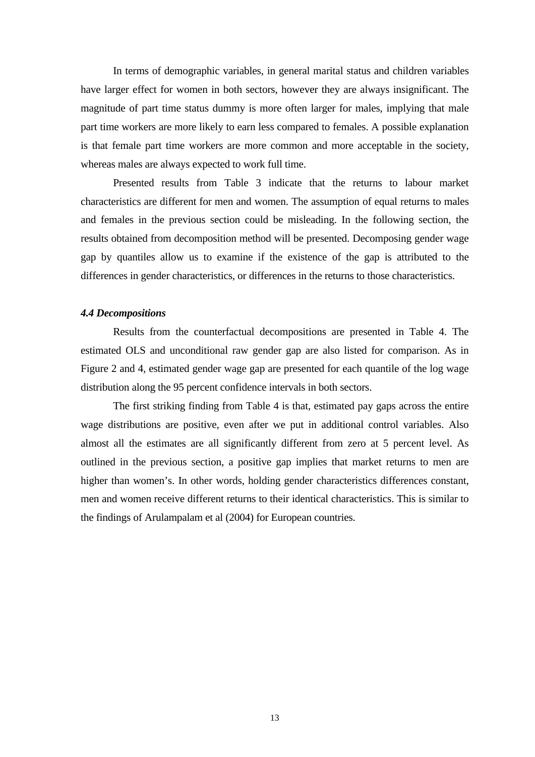In terms of demographic variables, in general marital status and children variables have larger effect for women in both sectors, however they are always insignificant. The magnitude of part time status dummy is more often larger for males, implying that male part time workers are more likely to earn less compared to females. A possible explanation is that female part time workers are more common and more acceptable in the society, whereas males are always expected to work full time.

Presented results from Table 3 indicate that the returns to labour market characteristics are different for men and women. The assumption of equal returns to males and females in the previous section could be misleading. In the following section, the results obtained from decomposition method will be presented. Decomposing gender wage gap by quantiles allow us to examine if the existence of the gap is attributed to the differences in gender characteristics, or differences in the returns to those characteristics.

#### *4.4 Decompositions*

Results from the counterfactual decompositions are presented in Table 4. The estimated OLS and unconditional raw gender gap are also listed for comparison. As in Figure 2 and 4, estimated gender wage gap are presented for each quantile of the log wage distribution along the 95 percent confidence intervals in both sectors.

The first striking finding from Table 4 is that, estimated pay gaps across the entire wage distributions are positive, even after we put in additional control variables. Also almost all the estimates are all significantly different from zero at 5 percent level. As outlined in the previous section, a positive gap implies that market returns to men are higher than women's. In other words, holding gender characteristics differences constant, men and women receive different returns to their identical characteristics. This is similar to the findings of Arulampalam et al (2004) for European countries.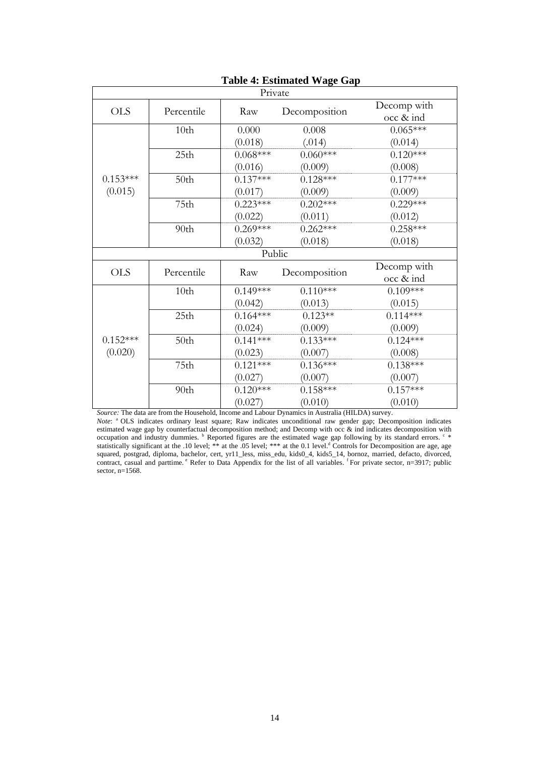| Private    |                  |            |               |             |  |  |
|------------|------------------|------------|---------------|-------------|--|--|
| <b>OLS</b> | Percentile       | Raw        | Decomposition | Decomp with |  |  |
|            |                  |            |               | occ & ind   |  |  |
|            | 10th             | 0.000      | 0.008         | $0.065***$  |  |  |
|            |                  | (0.018)    | (.014)        | (0.014)     |  |  |
|            | 25 <sub>th</sub> | $0.068***$ | $0.060***$    | $0.120***$  |  |  |
|            |                  | (0.016)    | (0.009)       | (0.008)     |  |  |
| $0.153***$ | 50th             | $0.137***$ | $0.128***$    | $0.177***$  |  |  |
| (0.015)    |                  | (0.017)    | (0.009)       | (0.009)     |  |  |
|            | 75th             | $0.223***$ | $0.202***$    | $0.229***$  |  |  |
|            |                  | (0.022)    | (0.011)       | (0.012)     |  |  |
|            | 90th             | $0.269***$ | $0.262***$    | $0.258***$  |  |  |
|            |                  | (0.032)    | (0.018)       | (0.018)     |  |  |
|            |                  | Public     |               |             |  |  |
| <b>OLS</b> | Percentile       | Raw        |               | Decomp with |  |  |
|            |                  |            | Decomposition | occ & ind   |  |  |
|            | 10th             | $0.149***$ | $0.110***$    | $0.109***$  |  |  |
|            |                  | (0.042)    | (0.013)       | (0.015)     |  |  |
|            | 25th             | $0.164***$ | $0.123**$     | $0.114***$  |  |  |
|            |                  | (0.024)    | (0.009)       | (0.009)     |  |  |
| $0.152***$ | 50th             | $0.141***$ | $0.133***$    | $0.124***$  |  |  |
| (0.020)    |                  | (0.023)    | (0.007)       | (0.008)     |  |  |
|            | 75th             | $0.121***$ | $0.136***$    | $0.138***$  |  |  |
|            |                  | (0.027)    | (0.007)       | (0.007)     |  |  |
|            | 90th             | $0.120***$ | $0.158***$    | $0.157***$  |  |  |
|            |                  | (0.027)    | (0.010)       | (0.010)     |  |  |

## **Table 4: Estimated Wage Gap**

*Source:* The data are from the Household, Income and Labour Dynamics in Australia (HILDA) survey.

*Note*: <sup>a</sup> OLS indicates ordinary least square; Raw indicates unconditional raw gender gap; Decomposition indicates estimated wage gap by counterfactual decomposition method; and Decomp with occ & ind indicates decomposition with occupation and industry dummies.  $\frac{b}{b}$  Reported figures are the estimated wage gap following by its standard errors.  $\frac{c}{b}$ statistically significant at the .10 level; \*\* at the .05 level; \*\*\* at the 0.1 level.<sup>d</sup> Controls for Decomposition are age, age squared, postgrad, diploma, bachelor, cert, yr11\_less, miss\_edu, kids0\_4, kids5\_14, bornoz, married, defacto, divorced, contract, casual and parttime.  $e^R$  Refer to Data Appendix for the list of all variables.  $f^R$  For private sector, n=3917; public sector, n=1568.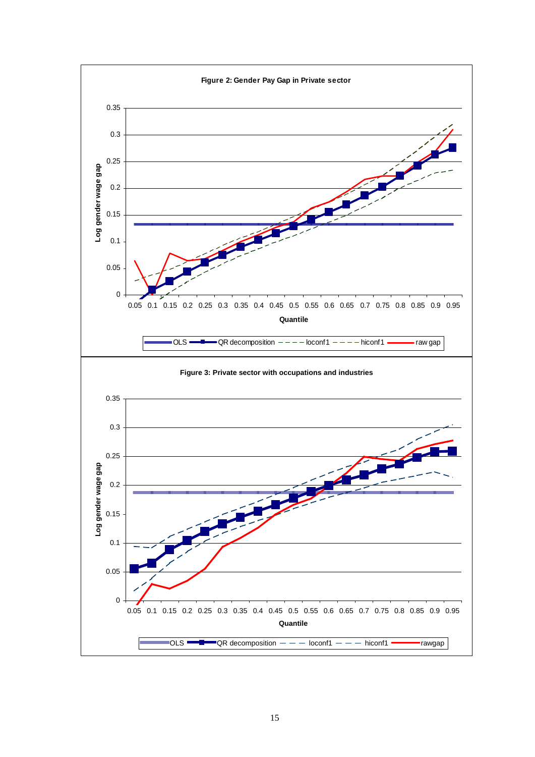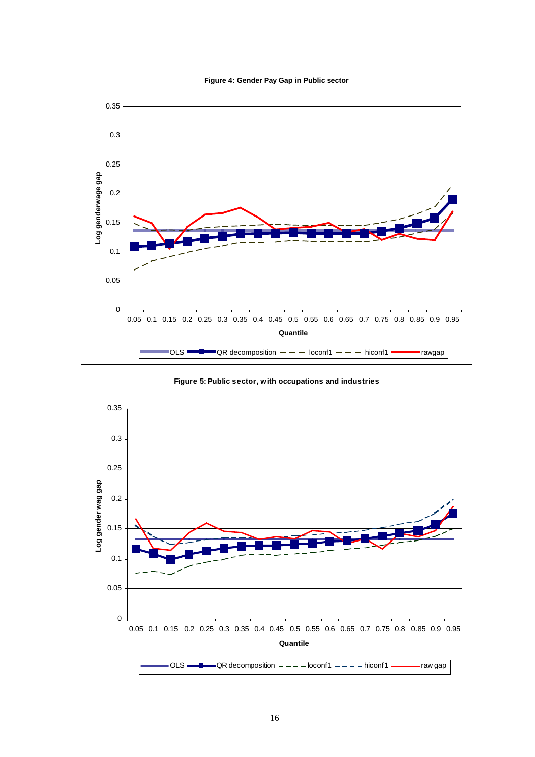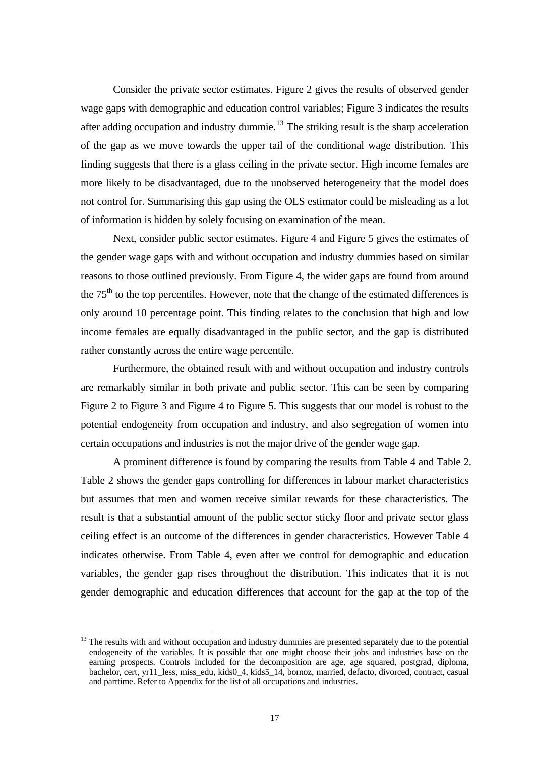Consider the private sector estimates. Figure 2 gives the results of observed gender wage gaps with demographic and education control variables; Figure 3 indicates the results after adding occupation and industry dummie.<sup>[13](#page-19-0)</sup> The striking result is the sharp acceleration of the gap as we move towards the upper tail of the conditional wage distribution. This finding suggests that there is a glass ceiling in the private sector. High income females are more likely to be disadvantaged, due to the unobserved heterogeneity that the model does not control for. Summarising this gap using the OLS estimator could be misleading as a lot of information is hidden by solely focusing on examination of the mean.

Next, consider public sector estimates. Figure 4 and Figure 5 gives the estimates of the gender wage gaps with and without occupation and industry dummies based on similar reasons to those outlined previously. From Figure 4, the wider gaps are found from around the  $75<sup>th</sup>$  to the top percentiles. However, note that the change of the estimated differences is only around 10 percentage point. This finding relates to the conclusion that high and low income females are equally disadvantaged in the public sector, and the gap is distributed rather constantly across the entire wage percentile.

Furthermore, the obtained result with and without occupation and industry controls are remarkably similar in both private and public sector. This can be seen by comparing Figure 2 to Figure 3 and Figure 4 to Figure 5. This suggests that our model is robust to the potential endogeneity from occupation and industry, and also segregation of women into certain occupations and industries is not the major drive of the gender wage gap.

A prominent difference is found by comparing the results from Table 4 and Table 2. Table 2 shows the gender gaps controlling for differences in labour market characteristics but assumes that men and women receive similar rewards for these characteristics. The result is that a substantial amount of the public sector sticky floor and private sector glass ceiling effect is an outcome of the differences in gender characteristics. However Table 4 indicates otherwise. From Table 4, even after we control for demographic and education variables, the gender gap rises throughout the distribution. This indicates that it is not gender demographic and education differences that account for the gap at the top of the

<span id="page-19-0"></span><sup>&</sup>lt;sup>13</sup> The results with and without occupation and industry dummies are presented separately due to the potential endogeneity of the variables. It is possible that one might choose their jobs and industries base on the earning prospects. Controls included for the decomposition are age, age squared, postgrad, diploma, bachelor, cert, yr11\_less, miss\_edu, kids0\_4, kids5\_14, bornoz, married, defacto, divorced, contract, casual and parttime. Refer to Appendix for the list of all occupations and industries.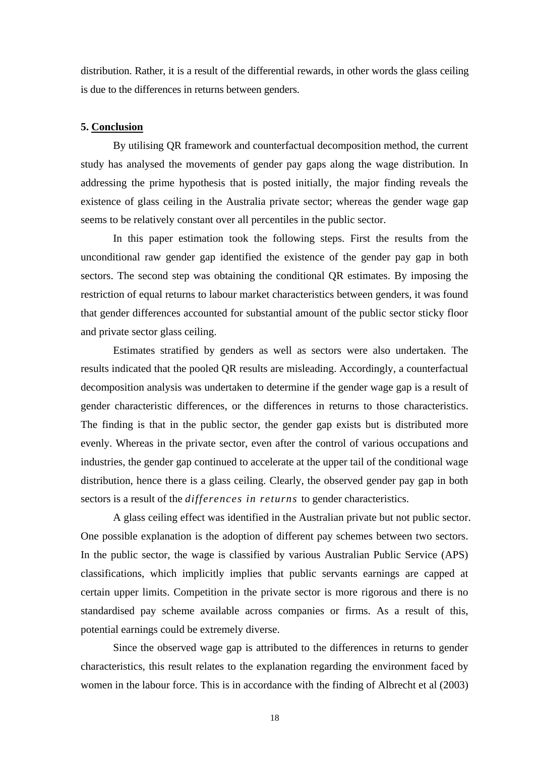distribution. Rather, it is a result of the differential rewards, in other words the glass ceiling is due to the differences in returns between genders.

#### **5. Conclusion**

By utilising QR framework and counterfactual decomposition method, the current study has analysed the movements of gender pay gaps along the wage distribution. In addressing the prime hypothesis that is posted initially, the major finding reveals the existence of glass ceiling in the Australia private sector; whereas the gender wage gap seems to be relatively constant over all percentiles in the public sector.

In this paper estimation took the following steps. First the results from the unconditional raw gender gap identified the existence of the gender pay gap in both sectors. The second step was obtaining the conditional QR estimates. By imposing the restriction of equal returns to labour market characteristics between genders, it was found that gender differences accounted for substantial amount of the public sector sticky floor and private sector glass ceiling.

Estimates stratified by genders as well as sectors were also undertaken. The results indicated that the pooled QR results are misleading. Accordingly, a counterfactual decomposition analysis was undertaken to determine if the gender wage gap is a result of gender characteristic differences, or the differences in returns to those characteristics. The finding is that in the public sector, the gender gap exists but is distributed more evenly. Whereas in the private sector, even after the control of various occupations and industries, the gender gap continued to accelerate at the upper tail of the conditional wage distribution, hence there is a glass ceiling. Clearly, the observed gender pay gap in both sectors is a result of the *differences in returns* to gender characteristics.

A glass ceiling effect was identified in the Australian private but not public sector. One possible explanation is the adoption of different pay schemes between two sectors. In the public sector, the wage is classified by various Australian Public Service (APS) classifications, which implicitly implies that public servants earnings are capped at certain upper limits. Competition in the private sector is more rigorous and there is no standardised pay scheme available across companies or firms. As a result of this, potential earnings could be extremely diverse.

Since the observed wage gap is attributed to the differences in returns to gender characteristics, this result relates to the explanation regarding the environment faced by women in the labour force. This is in accordance with the finding of Albrecht et al (2003)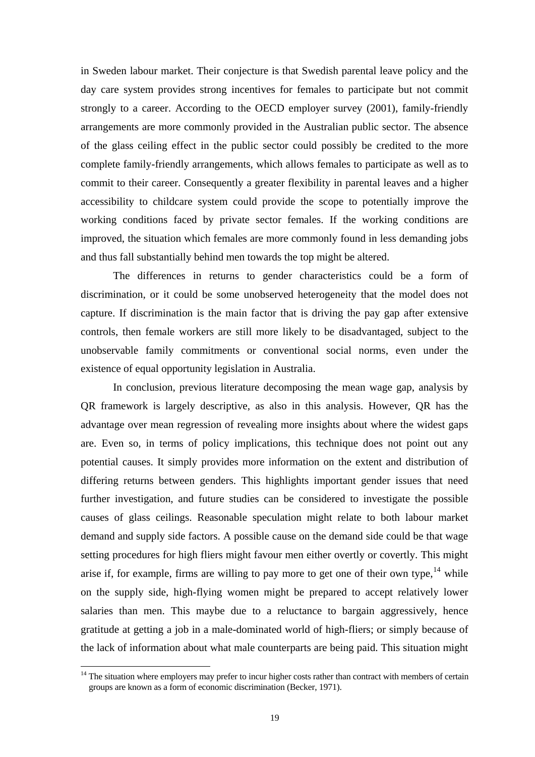in Sweden labour market. Their conjecture is that Swedish parental leave policy and the day care system provides strong incentives for females to participate but not commit strongly to a career. According to the OECD employer survey (2001), family-friendly arrangements are more commonly provided in the Australian public sector. The absence of the glass ceiling effect in the public sector could possibly be credited to the more complete family-friendly arrangements, which allows females to participate as well as to commit to their career. Consequently a greater flexibility in parental leaves and a higher accessibility to childcare system could provide the scope to potentially improve the working conditions faced by private sector females. If the working conditions are improved, the situation which females are more commonly found in less demanding jobs and thus fall substantially behind men towards the top might be altered.

The differences in returns to gender characteristics could be a form of discrimination, or it could be some unobserved heterogeneity that the model does not capture. If discrimination is the main factor that is driving the pay gap after extensive controls, then female workers are still more likely to be disadvantaged, subject to the unobservable family commitments or conventional social norms, even under the existence of equal opportunity legislation in Australia.

In conclusion, previous literature decomposing the mean wage gap, analysis by QR framework is largely descriptive, as also in this analysis. However, QR has the advantage over mean regression of revealing more insights about where the widest gaps are. Even so, in terms of policy implications, this technique does not point out any potential causes. It simply provides more information on the extent and distribution of differing returns between genders. This highlights important gender issues that need further investigation, and future studies can be considered to investigate the possible causes of glass ceilings. Reasonable speculation might relate to both labour market demand and supply side factors. A possible cause on the demand side could be that wage setting procedures for high fliers might favour men either overtly or covertly. This might arise if, for example, firms are willing to pay more to get one of their own type,  $14$  while on the supply side, high-flying women might be prepared to accept relatively lower salaries than men. This maybe due to a reluctance to bargain aggressively, hence gratitude at getting a job in a male-dominated world of high-fliers; or simply because of the lack of information about what male counterparts are being paid. This situation might

<span id="page-21-0"></span><sup>&</sup>lt;sup>14</sup> The situation where employers may prefer to incur higher costs rather than contract with members of certain groups are known as a form of economic discrimination (Becker, 1971).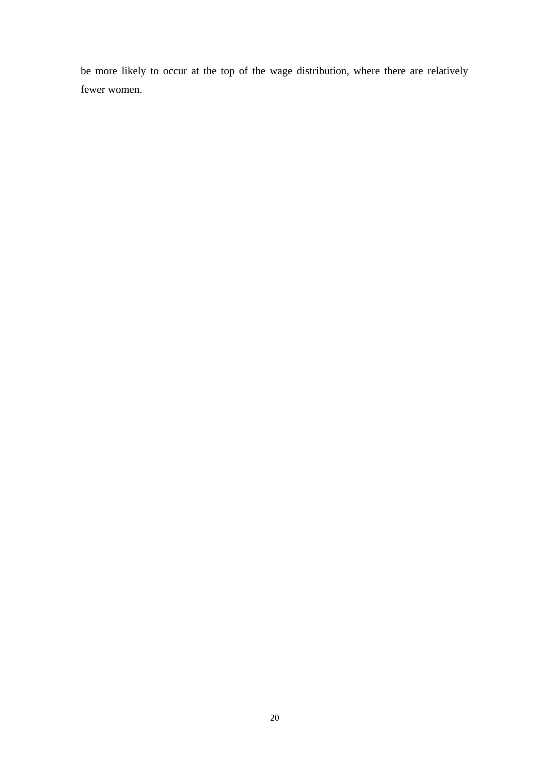be more likely to occur at the top of the wage distribution, where there are relatively fewer women.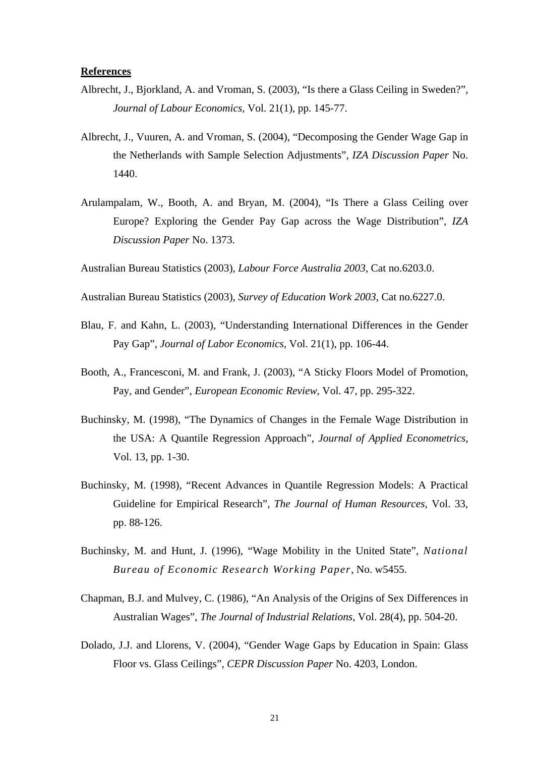#### **References**

- Albrecht, J., Bjorkland, A. and Vroman, S. (2003), "Is there a Glass Ceiling in Sweden?", *Journal of Labour Economics*, Vol. 21(1), pp. 145-77.
- Albrecht, J., Vuuren, A. and Vroman, S. (2004), "Decomposing the Gender Wage Gap in the Netherlands with Sample Selection Adjustments", *IZA Discussion Paper* No. 1440.
- Arulampalam, W., Booth, A. and Bryan, M. (2004), "Is There a Glass Ceiling over Europe? Exploring the Gender Pay Gap across the Wage Distribution", *IZA Discussion Paper* No. 1373.
- Australian Bureau Statistics (2003), *Labour Force Australia 2003*, Cat no.6203.0.
- Australian Bureau Statistics (2003), *Survey of Education Work 2003*, Cat no.6227.0.
- Blau, F. and Kahn, L. (2003), "Understanding International Differences in the Gender Pay Gap", *Journal of Labor Economics*, Vol. 21(1), pp. 106-44.
- Booth, A., Francesconi, M. and Frank, J. (2003), "A Sticky Floors Model of Promotion, Pay, and Gender", *European Economic Review*, Vol. 47, pp. 295-322.
- Buchinsky, M. (1998), "The Dynamics of Changes in the Female Wage Distribution in the USA: A Quantile Regression Approach", *Journal of Applied Econometrics*, Vol. 13, pp. 1-30.
- Buchinsky, M. (1998), "Recent Advances in Quantile Regression Models: A Practical Guideline for Empirical Research", *The Journal of Human Resources*, Vol. 33, pp. 88-126.
- Buchinsky, M. and Hunt, J. (1996), "Wage Mobility in the United State", *National Bureau of Economic Research Working Paper*, No. w5455.
- Chapman, B.J. and Mulvey, C. (1986), "An Analysis of the Origins of Sex Differences in Australian Wages", *The Journal of Industrial Relations*, Vol. 28(4), pp. 504-20.
- Dolado, J.J. and Llorens, V. (2004), "Gender Wage Gaps by Education in Spain: Glass Floor vs. Glass Ceilings", *CEPR Discussion Paper* No. 4203, London.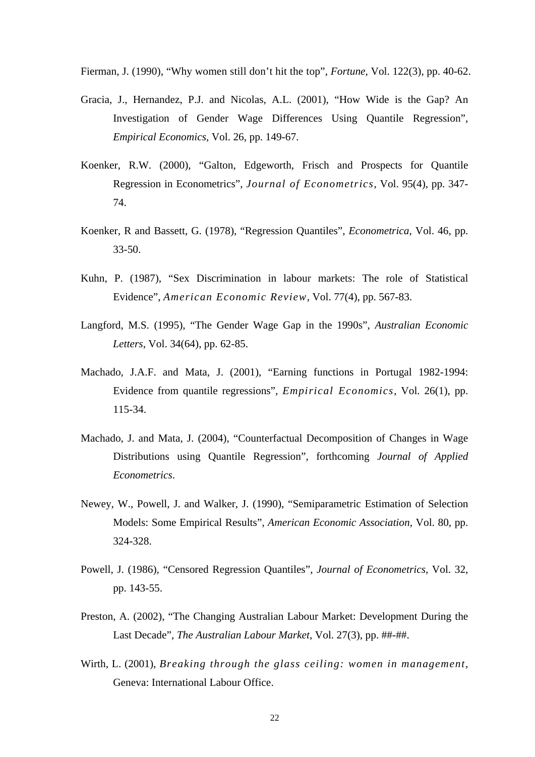Fierman, J. (1990), "Why women still don't hit the top", *Fortune,* Vol. 122(3), pp. 40-62.

- Gracia, J., Hernandez, P.J. and Nicolas, A.L. (2001), "How Wide is the Gap? An Investigation of Gender Wage Differences Using Quantile Regression", *Empirical Economics*, Vol. 26, pp. 149-67.
- Koenker, R.W. (2000), "Galton, Edgeworth, Frisch and Prospects for Quantile Regression in Econometrics", *Journal of Econometrics*, Vol. 95(4), pp. 347- 74.
- Koenker, R and Bassett, G. (1978), "Regression Quantiles", *Econometrica*, Vol. 46, pp. 33-50.
- Kuhn, P. (1987), "Sex Discrimination in labour markets: The role of Statistical Evidence", *American Economic Review*, Vol. 77(4), pp. 567-83.
- Langford, M.S. (1995), "The Gender Wage Gap in the 1990s", *Australian Economic Letters*, Vol. 34(64), pp. 62-85.
- Machado, J.A.F. and Mata, J. (2001), "Earning functions in Portugal 1982-1994: Evidence from quantile regressions", *Empirical Economics*, Vol. 26(1), pp. 115-34.
- Machado, J. and Mata, J. (2004), "Counterfactual Decomposition of Changes in Wage Distributions using Quantile Regression", forthcoming *Journal of Applied Econometrics*.
- Newey, W., Powell, J. and Walker, J. (1990), "Semiparametric Estimation of Selection Models: Some Empirical Results", *American Economic Association*, Vol. 80, pp. 324-328.
- Powell, J. (1986), "Censored Regression Quantiles", *Journal of Econometrics*, Vol. 32, pp. 143-55.
- Preston, A. (2002), "The Changing Australian Labour Market: Development During the Last Decade", *The Australian Labour Market*, Vol. 27(3), pp. ##-##.
- Wirth, L. (2001), *Breaking through the glass ceiling: women in management*, Geneva: International Labour Office.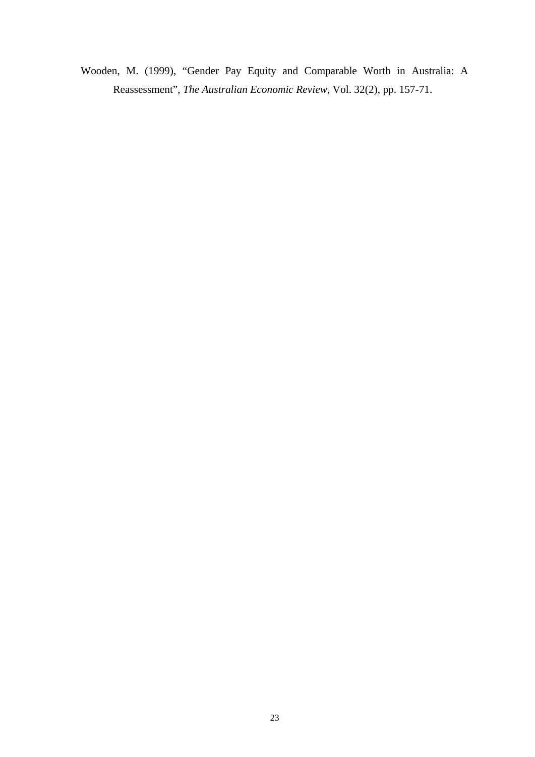Wooden, M. (1999), "Gender Pay Equity and Comparable Worth in Australia: A Reassessment", *The Australian Economic Review*, Vol. 32(2), pp. 157-71.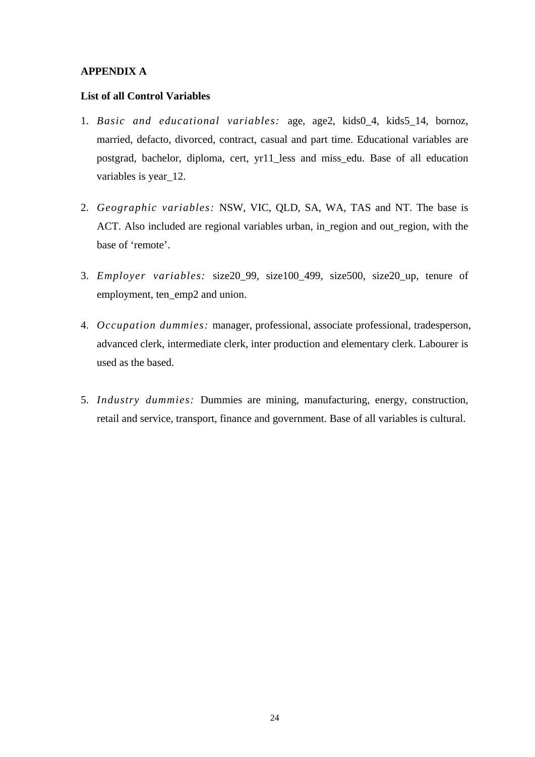## **APPENDIX A**

## **List of all Control Variables**

- 1. *Basic and educational variables:* age, age2, kids0\_4, kids5\_14, bornoz, married, defacto, divorced, contract, casual and part time. Educational variables are postgrad, bachelor, diploma, cert, yr11\_less and miss\_edu. Base of all education variables is year\_12.
- 2. *Geographic variables:* NSW, VIC, QLD, SA, WA, TAS and NT. The base is ACT. Also included are regional variables urban, in\_region and out\_region, with the base of 'remote'.
- 3. *Employer variables:* size20\_99, size100\_499, size500, size20\_up, tenure of employment, ten\_emp2 and union.
- 4. *Occupation dummies:* manager, professional, associate professional, tradesperson, advanced clerk, intermediate clerk, inter production and elementary clerk. Labourer is used as the based.
- 5. *Industry dummies:* Dummies are mining, manufacturing, energy, construction, retail and service, transport, finance and government. Base of all variables is cultural.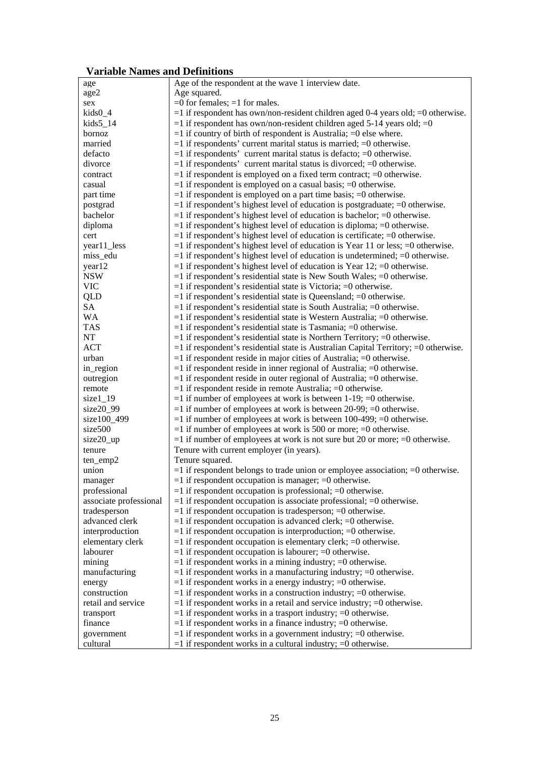# **Variable Names and Definitions**

| age                    | Age of the respondent at the wave 1 interview date.                                     |
|------------------------|-----------------------------------------------------------------------------------------|
| age2                   | Age squared.                                                                            |
| sex                    | $=0$ for females; $=1$ for males.                                                       |
| $kids0_4$              |                                                                                         |
|                        | $=$ 1 if respondent has own/non-resident children aged 0-4 years old; $=$ 0 otherwise.  |
| kids5 14               | $=$ 1 if respondent has own/non-resident children aged 5-14 years old; $=$ 0            |
| bornoz                 | $=$ 1 if country of birth of respondent is Australia; $=$ 0 else where.                 |
| married                | $=$ 1 if respondents' current marital status is married; $=$ 0 otherwise.               |
| defacto                | $=$ 1 if respondents' current marital status is defacto; $=$ 0 otherwise.               |
| divorce                | $=$ 1 if respondents' current marital status is divorced; $=$ 0 otherwise.              |
| contract               | $=$ 1 if respondent is employed on a fixed term contract; $=$ 0 otherwise.              |
| casual                 | $=$ 1 if respondent is employed on a casual basis; $=$ 0 otherwise.                     |
| part time              | $=$ 1 if respondent is employed on a part time basis; $=$ 0 otherwise.                  |
| postgrad               | $=$ 1 if respondent's highest level of education is postgraduate; $=$ 0 otherwise.      |
| bachelor               | $=$ 1 if respondent's highest level of education is bachelor; $=$ 0 otherwise.          |
| diploma                | $=$ 1 if respondent's highest level of education is diploma; $=$ 0 otherwise.           |
| cert                   | $=$ 1 if respondent's highest level of education is certificate; $=$ 0 otherwise.       |
| year11_less            | $=$ 1 if respondent's highest level of education is Year 11 or less; $=$ 0 otherwise.   |
| miss_edu               | $=$ 1 if respondent's highest level of education is undetermined; $=$ 0 otherwise.      |
| year12                 | $=$ 1 if respondent's highest level of education is Year 12; $=$ 0 otherwise.           |
| <b>NSW</b>             | $=$ 1 if respondent's residential state is New South Wales; $=$ 0 otherwise.            |
| <b>VIC</b>             | $=$ 1 if respondent's residential state is Victoria; $=$ 0 otherwise.                   |
| <b>QLD</b>             | $=1$ if respondent's residential state is Queensland; $=0$ otherwise.                   |
| SA                     | $=$ 1 if respondent's residential state is South Australia; $=$ 0 otherwise.            |
| <b>WA</b>              | $=$ 1 if respondent's residential state is Western Australia; $=$ 0 otherwise.          |
| <b>TAS</b>             | $=$ 1 if respondent's residential state is Tasmania; $=$ 0 otherwise.                   |
| NT                     | $=$ 1 if respondent's residential state is Northern Territory; $=$ 0 otherwise.         |
| <b>ACT</b>             | $=1$ if respondent's residential state is Australian Capital Territory; $=0$ otherwise. |
| urban                  | $=$ 1 if respondent reside in major cities of Australia; $=$ 0 otherwise.               |
|                        |                                                                                         |
| in_region              | $=$ 1 if respondent reside in inner regional of Australia; $=$ 0 otherwise.             |
| outregion              | $=$ 1 if respondent reside in outer regional of Australia; $=$ 0 otherwise.             |
| remote                 | $=$ 1 if respondent reside in remote Australia; $=$ 0 otherwise.                        |
| size $1_{1}$           | $=$ 1 if number of employees at work is between 1-19; $=$ 0 otherwise.                  |
| $size20_99$            | $=$ 1 if number of employees at work is between 20-99; $=$ 0 otherwise.                 |
| size100_499            | $=$ 1 if number of employees at work is between 100-499; $=$ 0 otherwise.               |
| size500                | $=$ 1 if number of employees at work is 500 or more; $=$ 0 otherwise.                   |
| size20_up              | $=$ 1 if number of employees at work is not sure but 20 or more; $=$ 0 otherwise.       |
| tenure                 | Tenure with current employer (in years).                                                |
| ten_emp2               | Tenure squared.                                                                         |
| union                  | $=$ 1 if respondent belongs to trade union or employee association; $=$ 0 otherwise.    |
| manager                | $=$ 1 if respondent occupation is manager; $=$ 0 otherwise.                             |
| professional           | $=$ 1 if respondent occupation is professional; $=$ 0 otherwise.                        |
| associate professional | $=$ 1 if respondent occupation is associate professional; $=$ 0 otherwise.              |
| tradesperson           | $=1$ if respondent occupation is tradesperson; $=0$ otherwise.                          |
| advanced clerk         | $=$ 1 if respondent occupation is advanced clerk; $=$ 0 otherwise.                      |
| interproduction        | $=$ 1 if respondent occupation is interproduction; $=$ 0 otherwise.                     |
| elementary clerk       | $=$ 1 if respondent occupation is elementary clerk; $=$ 0 otherwise.                    |
| labourer               | $=1$ if respondent occupation is labourer; $=0$ otherwise.                              |
| mining                 | $=$ 1 if respondent works in a mining industry; $=$ 0 otherwise.                        |
| manufacturing          | $=$ 1 if respondent works in a manufacturing industry; $=$ 0 otherwise.                 |
| energy                 | $=$ 1 if respondent works in a energy industry; $=$ 0 otherwise.                        |
| construction           | $=$ 1 if respondent works in a construction industry; $=$ 0 otherwise.                  |
| retail and service     | $=$ 1 if respondent works in a retail and service industry; $=$ 0 otherwise.            |
|                        |                                                                                         |
| transport              | $=$ 1 if respondent works in a trasport industry; $=$ 0 otherwise.                      |
| finance                | $=$ 1 if respondent works in a finance industry; $=$ 0 otherwise.                       |
| government             | $=$ 1 if respondent works in a government industry; $=$ 0 otherwise.                    |
| cultural               | $=$ 1 if respondent works in a cultural industry; $=$ 0 otherwise.                      |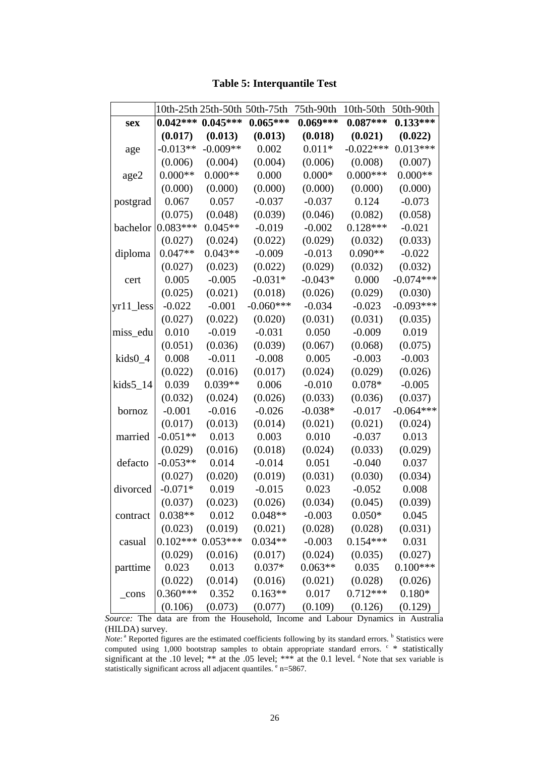|             |            | 10th-25th 25th-50th 50th-75th |             | 75th-90th  | $10th-50th$ | 50th-90th   |
|-------------|------------|-------------------------------|-------------|------------|-------------|-------------|
| sex         | $0.042***$ | $0.045***$                    | $0.065***$  | $0.069***$ | $0.087***$  | $0.133***$  |
|             | (0.017)    | (0.013)                       | (0.013)     | (0.018)    | (0.021)     | (0.022)     |
| age         | $-0.013**$ | $-0.009**$                    | 0.002       | $0.011*$   | $-0.022***$ | $0.013***$  |
|             | (0.006)    | (0.004)                       | (0.004)     | (0.006)    | (0.008)     | (0.007)     |
| age2        | $0.000**$  | $0.000**$                     | 0.000       | $0.000*$   | $0.000***$  | $0.000**$   |
|             | (0.000)    | (0.000)                       | (0.000)     | (0.000)    | (0.000)     | (0.000)     |
| postgrad    | 0.067      | 0.057                         | $-0.037$    | $-0.037$   | 0.124       | $-0.073$    |
|             | (0.075)    | (0.048)                       | (0.039)     | (0.046)    | (0.082)     | (0.058)     |
| bachelor    | $0.083***$ | $0.045**$                     | $-0.019$    | $-0.002$   | $0.128***$  | $-0.021$    |
|             | (0.027)    | (0.024)                       | (0.022)     | (0.029)    | (0.032)     | (0.033)     |
| diploma     | $0.047**$  | $0.043**$                     | $-0.009$    | $-0.013$   | $0.090**$   | $-0.022$    |
|             | (0.027)    | (0.023)                       | (0.022)     | (0.029)    | (0.032)     | (0.032)     |
| cert        | 0.005      | $-0.005$                      | $-0.031*$   | $-0.043*$  | 0.000       | $-0.074***$ |
|             | (0.025)    | (0.021)                       | (0.018)     | (0.026)    | (0.029)     | (0.030)     |
| $yr11$ less | $-0.022$   | $-0.001$                      | $-0.060***$ | $-0.034$   | $-0.023$    | $-0.093***$ |
|             | (0.027)    | (0.022)                       | (0.020)     | (0.031)    | (0.031)     | (0.035)     |
| miss_edu    | 0.010      | $-0.019$                      | $-0.031$    | 0.050      | $-0.009$    | 0.019       |
|             | (0.051)    | (0.036)                       | (0.039)     | (0.067)    | (0.068)     | (0.075)     |
| $kids0_4$   | 0.008      | $-0.011$                      | $-0.008$    | 0.005      | $-0.003$    | $-0.003$    |
|             | (0.022)    | (0.016)                       | (0.017)     | (0.024)    | (0.029)     | (0.026)     |
| $kids5_14$  | 0.039      | $0.039**$                     | 0.006       | $-0.010$   | $0.078*$    | $-0.005$    |
|             | (0.032)    | (0.024)                       | (0.026)     | (0.033)    | (0.036)     | (0.037)     |
| bornoz      | $-0.001$   | $-0.016$                      | $-0.026$    | $-0.038*$  | $-0.017$    | $-0.064***$ |
|             | (0.017)    | (0.013)                       | (0.014)     | (0.021)    | (0.021)     | (0.024)     |
| married     | $-0.051**$ | 0.013                         | 0.003       | 0.010      | $-0.037$    | 0.013       |
|             | (0.029)    | (0.016)                       | (0.018)     | (0.024)    | (0.033)     | (0.029)     |
| defacto     | $-0.053**$ | 0.014                         | $-0.014$    | 0.051      | $-0.040$    | 0.037       |
|             | (0.027)    | (0.020)                       | (0.019)     | (0.031)    | (0.030)     | (0.034)     |
| divorced    | $-0.071*$  | 0.019                         | $-0.015$    | 0.023      | $-0.052$    | 0.008       |
|             | (0.037)    | (0.023)                       | (0.026)     | (0.034)    | (0.045)     | (0.039)     |
| contract    | $0.038**$  | 0.012                         | $0.048**$   | $-0.003$   | $0.050*$    | 0.045       |
|             | (0.023)    | (0.019)                       | (0.021)     | (0.028)    | (0.028)     | (0.031)     |
| casual      |            | $0.102***0.053***$            | $0.034**$   | $-0.003$   | $0.154***$  | 0.031       |
|             | (0.029)    | (0.016)                       | (0.017)     | (0.024)    | (0.035)     | (0.027)     |
| parttime    | 0.023      | 0.013                         | $0.037*$    | $0.063**$  | 0.035       | $0.100***$  |
|             | (0.022)    | (0.014)                       | (0.016)     | (0.021)    | (0.028)     | (0.026)     |
| cons        | $0.360***$ | 0.352                         | $0.163**$   | 0.017      | $0.712***$  | $0.180*$    |
|             | (0.106)    | (0.073)                       | (0.077)     | (0.109)    | (0.126)     | (0.129)     |

**Table 5: Interquantile Test** 

*Source:* The data are from the Household, Income and Labour Dynamics in Australia (HILDA) survey.

*Note*: <sup>a</sup> Reported figures are the estimated coefficients following by its standard errors. <sup>b</sup> Statistics were computed using 1,000 bootstrap samples to obtain appropriate standard errors.  $\text{c}$  \* statistically significant at the .10 level; \*\* at the .05 level; \*\*\* at the 0.1 level.  $\textsuperscript{d}$  Note that sex variable is statistically significant across all adjacent quantiles. <sup>e</sup> n=5867.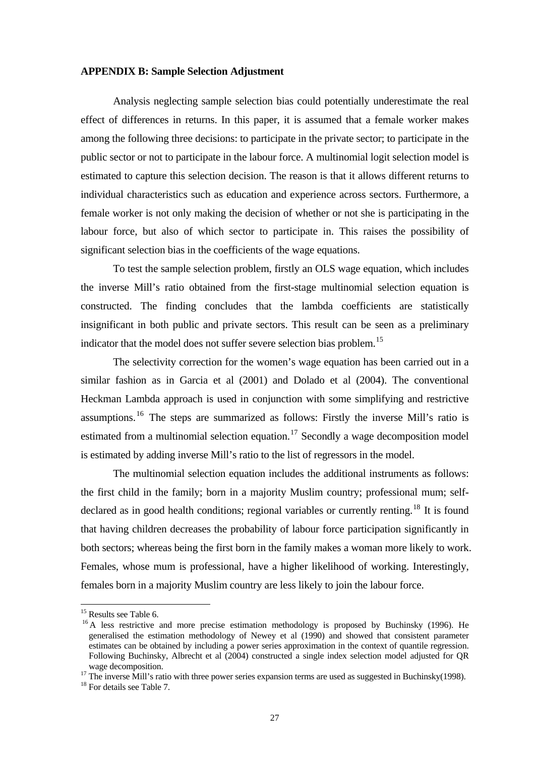#### **APPENDIX B: Sample Selection Adjustment**

Analysis neglecting sample selection bias could potentially underestimate the real effect of differences in returns. In this paper, it is assumed that a female worker makes among the following three decisions: to participate in the private sector; to participate in the public sector or not to participate in the labour force. A multinomial logit selection model is estimated to capture this selection decision. The reason is that it allows different returns to individual characteristics such as education and experience across sectors. Furthermore, a female worker is not only making the decision of whether or not she is participating in the labour force, but also of which sector to participate in. This raises the possibility of significant selection bias in the coefficients of the wage equations.

To test the sample selection problem, firstly an OLS wage equation, which includes the inverse Mill's ratio obtained from the first-stage multinomial selection equation is constructed. The finding concludes that the lambda coefficients are statistically insignificant in both public and private sectors. This result can be seen as a preliminary indicator that the model does not suffer severe selection bias problem.<sup>[15](#page-29-0)</sup>

The selectivity correction for the women's wage equation has been carried out in a similar fashion as in Garcia et al (2001) and Dolado et al (2004). The conventional Heckman Lambda approach is used in conjunction with some simplifying and restrictive assumptions.[16](#page-29-1) The steps are summarized as follows: Firstly the inverse Mill's ratio is estimated from a multinomial selection equation.<sup>[17](#page-29-2)</sup> Secondly a wage decomposition model is estimated by adding inverse Mill's ratio to the list of regressors in the model.

The multinomial selection equation includes the additional instruments as follows: the first child in the family; born in a majority Muslim country; professional mum; self-declared as in good health conditions; regional variables or currently renting.<sup>[18](#page-29-3)</sup> It is found that having children decreases the probability of labour force participation significantly in both sectors; whereas being the first born in the family makes a woman more likely to work. Females, whose mum is professional, have a higher likelihood of working. Interestingly, females born in a majority Muslim country are less likely to join the labour force.

<sup>&</sup>lt;sup>15</sup> Results see Table 6.

<span id="page-29-1"></span><span id="page-29-0"></span><sup>&</sup>lt;sup>16</sup> A less restrictive and more precise estimation methodology is proposed by Buchinsky (1996). He generalised the estimation methodology of Newey et al (1990) and showed that consistent parameter estimates can be obtained by including a power series approximation in the context of quantile regression. Following Buchinsky, Albrecht et al (2004) constructed a single index selection model adjusted for QR wage decomposition.<br><sup>17</sup> The inverse Mill's ratio with three power series expansion terms are used as suggested in Buchinsky(1998).<br><sup>18</sup> For details see Table 7.

<span id="page-29-2"></span>

<span id="page-29-3"></span>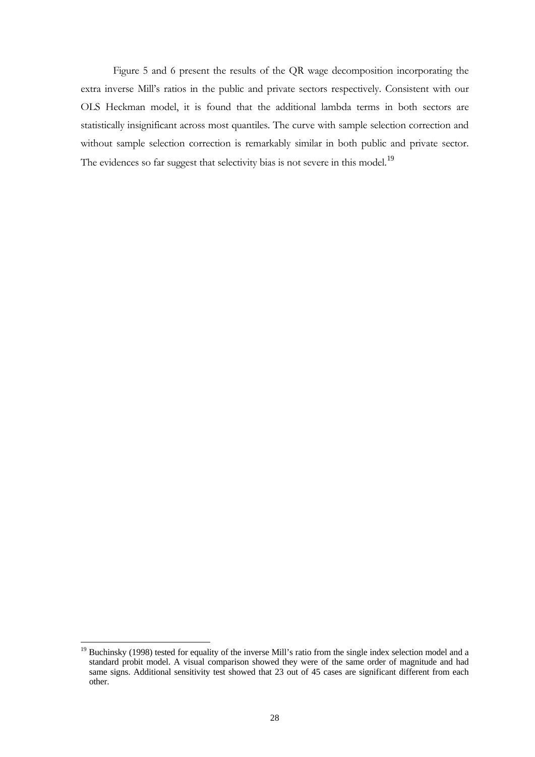Figure 5 and 6 present the results of the QR wage decomposition incorporating the extra inverse Mill's ratios in the public and private sectors respectively. Consistent with our OLS Heckman model, it is found that the additional lambda terms in both sectors are statistically insignificant across most quantiles. The curve with sample selection correction and without sample selection correction is remarkably similar in both public and private sector. The evidences so far suggest that selectivity bias is not severe in this model.<sup>[19](#page-30-0)</sup>

<span id="page-30-0"></span><sup>&</sup>lt;sup>19</sup> Buchinsky (1998) tested for equality of the inverse Mill's ratio from the single index selection model and a standard probit model. A visual comparison showed they were of the same order of magnitude and had same signs. Additional sensitivity test showed that 23 out of 45 cases are significant different from each other.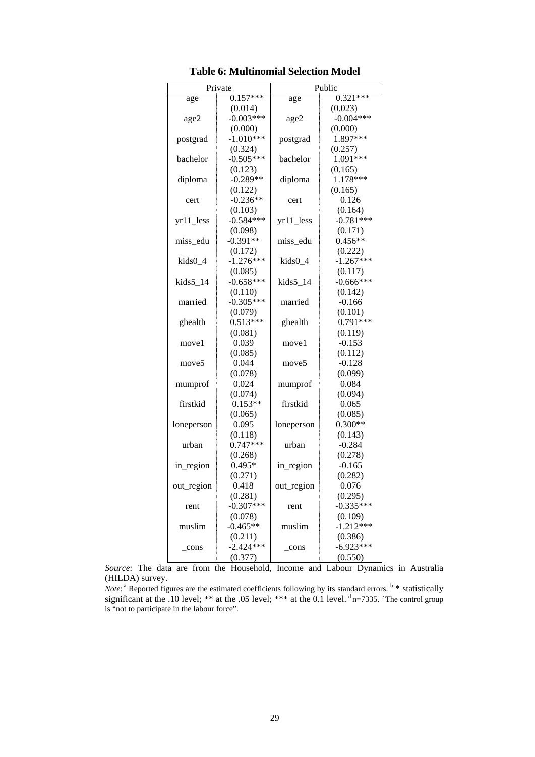|                   | Private     | Public            |                       |  |  |
|-------------------|-------------|-------------------|-----------------------|--|--|
| age               | $0.157***$  | age               | $0.32\overline{1***}$ |  |  |
|                   | (0.014)     |                   | (0.023)               |  |  |
| age2              | $-0.003***$ | age2              | $-0.004***$           |  |  |
|                   | (0.000)     |                   | (0.000)               |  |  |
| postgrad          | $-1.010***$ | postgrad          | 1.897***              |  |  |
|                   | (0.324)     |                   | (0.257)               |  |  |
| bachelor          | $-0.505***$ | bachelor          | 1.091***              |  |  |
|                   | (0.123)     |                   | (0.165)               |  |  |
| diploma           | $-0.289**$  | diploma           | 1.178***              |  |  |
|                   | (0.122)     |                   | (0.165)               |  |  |
| cert              | $-0.236**$  | cert              | 0.126                 |  |  |
|                   | (0.103)     |                   | (0.164)               |  |  |
| $yr11$ less       | $-0.584***$ | yr11_less         | $-0.781***$           |  |  |
|                   | (0.098)     |                   | (0.171)               |  |  |
| miss_edu          | $-0.391**$  | miss_edu          | $0.456**$             |  |  |
|                   | (0.172)     |                   | (0.222)               |  |  |
| kids0_4           | $-1.276***$ | kids0_4           | $-1.267***$           |  |  |
|                   | (0.085)     |                   | (0.117)               |  |  |
| $kids5_14$        | $-0.658***$ | $kids5_14$        | $-0.666***$           |  |  |
|                   | (0.110)     |                   | (0.142)               |  |  |
| married           | $-0.305***$ | married           | $-0.166$              |  |  |
|                   | (0.079)     |                   | (0.101)               |  |  |
| ghealth           | $0.513***$  | ghealth           | $0.791***$            |  |  |
|                   | (0.081)     |                   | (0.119)               |  |  |
| move1             | 0.039       | move1             | $-0.153$              |  |  |
|                   | (0.085)     |                   | (0.112)               |  |  |
| move <sub>5</sub> | 0.044       | move <sub>5</sub> | $-0.128$              |  |  |
|                   | (0.078)     |                   | (0.099)               |  |  |
| mumprof           | 0.024       | mumprof           | 0.084                 |  |  |
|                   | (0.074)     |                   | (0.094)               |  |  |
| firstkid          | $0.153**$   | firstkid          | 0.065                 |  |  |
|                   | (0.065)     |                   | (0.085)               |  |  |
| loneperson        | 0.095       | loneperson        | $0.300**$             |  |  |
|                   | (0.118)     |                   | (0.143)               |  |  |
| urban             | $0.747***$  | urban             | $-0.284$              |  |  |
|                   | (0.268)     |                   | (0.278)               |  |  |
| in_region         | $0.495*$    | in_region         | $-0.165$              |  |  |
|                   | (0.271)     |                   | (0.282)               |  |  |
| out_region        | 0.418       | out_region        | 0.076                 |  |  |
|                   | (0.281)     |                   | (0.295)               |  |  |
| rent              | $-0.307***$ | rent              | $-0.335***$           |  |  |
|                   | (0.078)     |                   | (0.109)               |  |  |
| muslim            | $-0.465**$  | muslim            | $-1.212***$           |  |  |
|                   | (0.211)     |                   | (0.386)               |  |  |
| cons              | $-2.424***$ | cons              | $-6.923***$           |  |  |
|                   | (0.377)     |                   | (0.550)               |  |  |

**Table 6: Multinomial Selection Model** 

*Source:* The data are from the Household, Income and Labour Dynamics in Australia (HILDA) survey.

*Note*:<sup>a</sup> Reported figures are the estimated coefficients following by its standard errors. **b** \* statistically significant at the .10 level; \*\* at the .05 level; \*\*\* at the 0.1 level.  $d$  n=7335.  $e$  The control group is "not to participate in the labour force".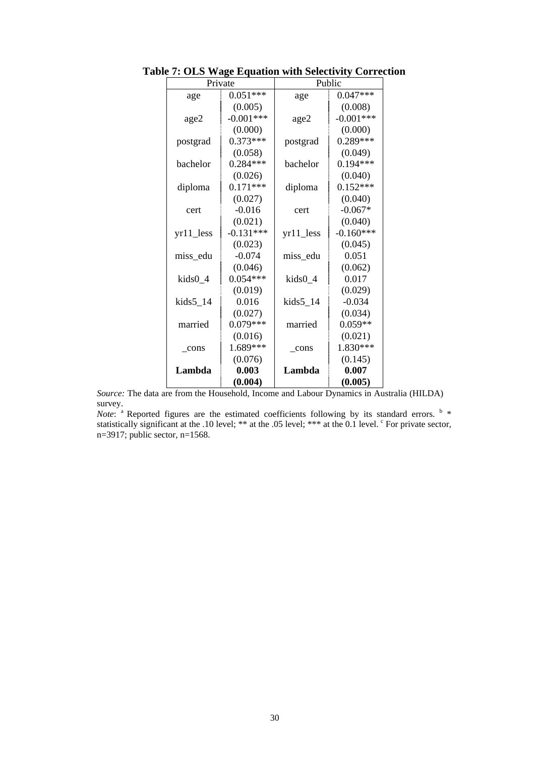|               | Private     | Public      |             |  |
|---------------|-------------|-------------|-------------|--|
| age           | $0.051***$  | age         | $0.047***$  |  |
|               | (0.005)     |             | (0.008)     |  |
| age2          | $-0.001***$ | age2        | $-0.001***$ |  |
|               | (0.000)     |             | (0.000)     |  |
| postgrad      | $0.373***$  | postgrad    | $0.289***$  |  |
|               | (0.058)     |             | (0.049)     |  |
| bachelor      | $0.284***$  | bachelor    | $0.194***$  |  |
|               | (0.026)     |             | (0.040)     |  |
| diploma       | $0.171***$  | diploma     | $0.152***$  |  |
|               | (0.027)     |             | (0.040)     |  |
| cert          | $-0.016$    | cert        | $-0.067*$   |  |
|               | (0.021)     |             | (0.040)     |  |
| $yr11$ less   | $-0.131***$ | $yr11$ less | $-0.160***$ |  |
|               | (0.023)     |             | (0.045)     |  |
| miss_edu      | $-0.074$    | miss_edu    | 0.051       |  |
|               | (0.046)     |             | (0.062)     |  |
| kids0_4       | $0.054***$  | kids0_4     | 0.017       |  |
|               | (0.019)     |             | (0.029)     |  |
| $kids5_14$    | 0.016       | $kids5_14$  | $-0.034$    |  |
|               | (0.027)     |             | (0.034)     |  |
| married       | $0.079***$  | married     | $0.059**$   |  |
|               | (0.016)     |             | (0.021)     |  |
| $_{\rm cons}$ | 1.689***    | cons        | 1.830***    |  |
|               | (0.076)     |             | (0.145)     |  |
| Lambda        | 0.003       | Lambda      | 0.007       |  |
|               | (0.004)     |             | (0.005)     |  |

**Table 7: OLS Wage Equation with Selectivity Correction** 

*Source:* The data are from the Household, Income and Labour Dynamics in Australia (HILDA) survey.

*Note*:  $\alpha$  Reported figures are the estimated coefficients following by its standard errors.  $\alpha$ statistically significant at the .10 level; \*\* at the .05 level; \*\*\* at the 0.1 level. <sup>c</sup> For private sector, n=3917; public sector, n=1568.